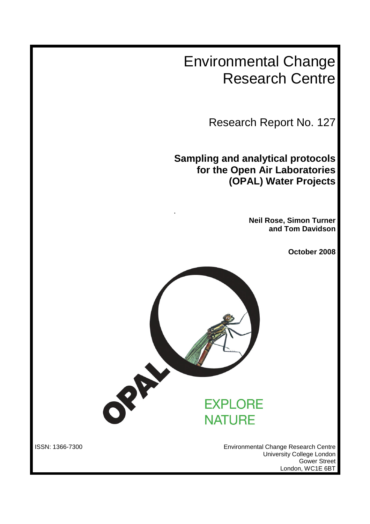Environmental Change Research Centre

Research Report No. 127

**Sampling and analytical protocols for the Open Air Laboratories (OPAL) Water Projects**

> **Neil Rose, Simon Turner and Tom Davidson**

> > **October 2008**



.

ISSN: 1366-7300 Environmental Change Research Centre University College London Gower Street London, WC1E 6BT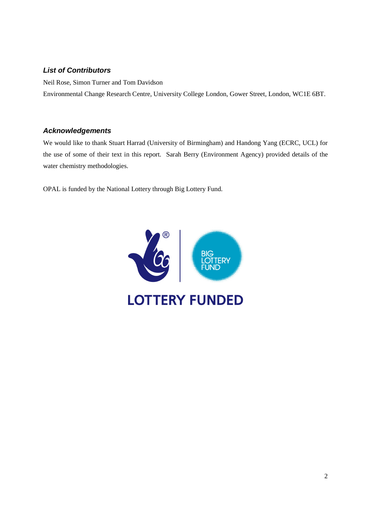# **List of Contributors**

Neil Rose, Simon Turner and Tom Davidson Environmental Change Research Centre, University College London, Gower Street, London, WC1E 6BT.

## **Acknowledgements**

We would like to thank Stuart Harrad (University of Birmingham) and Handong Yang (ECRC, UCL) for the use of some of their text in this report. Sarah Berry (Environment Agency) provided details of the water chemistry methodologies.

OPAL is funded by the National Lottery through Big Lottery Fund.

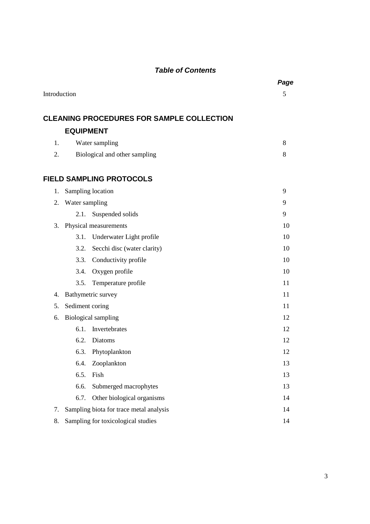# **Table of Contents**

|              |                                                  | Page |
|--------------|--------------------------------------------------|------|
| Introduction |                                                  | 5    |
|              | <b>CLEANING PROCEDURES FOR SAMPLE COLLECTION</b> |      |
|              | <b>EQUIPMENT</b>                                 |      |
| 1.           | Water sampling                                   | 8    |
| 2.           | Biological and other sampling                    | 8    |
|              | <b>FIELD SAMPLING PROTOCOLS</b>                  |      |
| 1.           | Sampling location                                | 9    |
| 2.           | Water sampling                                   | 9    |
|              | 2.1.<br>Suspended solids                         | 9    |
| 3.           | Physical measurements                            | 10   |
|              | Underwater Light profile<br>3.1.                 | 10   |
|              | Secchi disc (water clarity)<br>3.2.              | 10   |
|              | 3.3.<br>Conductivity profile                     | 10   |
|              | 3.4.<br>Oxygen profile                           | 10   |
|              | 3.5.<br>Temperature profile                      | 11   |
| 4.           | Bathymetric survey                               | 11   |
| 5.           | Sediment coring                                  | 11   |
| 6.           | <b>Biological sampling</b>                       | 12   |
|              | Invertebrates<br>6.1.                            | 12   |
|              | 6.2.<br>Diatoms                                  | 12   |
|              | 6.3.<br>Phytoplankton                            | 12   |
|              | 6.4.<br>Zooplankton                              | 13   |
|              | 6.5.<br>Fish                                     | 13   |
|              | 6.6.<br>Submerged macrophytes                    | 13   |
|              | Other biological organisms<br>6.7.               | 14   |
| 7.           | Sampling biota for trace metal analysis          | 14   |
| 8.           | Sampling for toxicological studies               | 14   |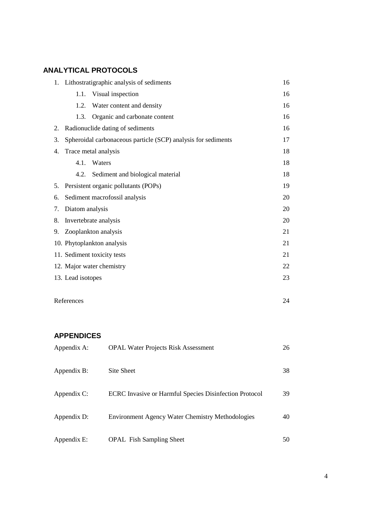# **ANALYTICAL PROTOCOLS**

| 1. | Lithostratigraphic analysis of sediments<br>16 |                                                               |    |  |  |
|----|------------------------------------------------|---------------------------------------------------------------|----|--|--|
|    | Visual inspection<br>1.1.                      |                                                               |    |  |  |
|    | 1.2.                                           | Water content and density                                     | 16 |  |  |
|    | 1.3.                                           | Organic and carbonate content                                 | 16 |  |  |
| 2. |                                                | Radionuclide dating of sediments                              | 16 |  |  |
| 3. |                                                | Spheroidal carbonaceous particle (SCP) analysis for sediments | 17 |  |  |
| 4. |                                                | Trace metal analysis                                          | 18 |  |  |
|    | 4.1.                                           | Waters                                                        | 18 |  |  |
|    | 4.2.                                           | Sediment and biological material                              | 18 |  |  |
| 5. |                                                | Persistent organic pollutants (POPs)                          | 19 |  |  |
| 6. | Sediment macrofossil analysis<br>20            |                                                               |    |  |  |
| 7. | Diatom analysis<br>20                          |                                                               |    |  |  |
| 8. | Invertebrate analysis<br>20                    |                                                               |    |  |  |
| 9. | Zooplankton analysis<br>21                     |                                                               |    |  |  |
|    | 10. Phytoplankton analysis<br>21               |                                                               |    |  |  |
|    | 11. Sediment toxicity tests<br>21              |                                                               |    |  |  |
|    | 22<br>12. Major water chemistry                |                                                               |    |  |  |
|    | 13. Lead isotopes                              |                                                               | 23 |  |  |
|    |                                                |                                                               |    |  |  |
|    | References<br>24                               |                                                               |    |  |  |

# **APPENDICES**

| Appendix A: | <b>OPAL Water Projects Risk Assessment</b>                    | 26 |
|-------------|---------------------------------------------------------------|----|
| Appendix B: | Site Sheet                                                    | 38 |
| Appendix C: | <b>ECRC</b> Invasive or Harmful Species Disinfection Protocol | 39 |
| Appendix D: | <b>Environment Agency Water Chemistry Methodologies</b>       | 40 |
| Appendix E: | <b>OPAL</b> Fish Sampling Sheet                               | 50 |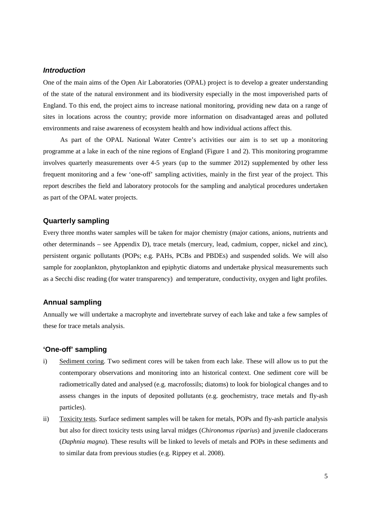#### **Introduction**

One of the main aims of the Open Air Laboratories (OPAL) project is to develop a greater understanding of the state of the natural environment and its biodiversity especially in the most impoverished parts of England. To this end, the project aims to increase national monitoring, providing new data on a range of sites in locations across the country; provide more information on disadvantaged areas and polluted environments and raise awareness of ecosystem health and how individual actions affect this.

As part of the OPAL National Water Centre's activities our aim is to set up a monitoring programme at a lake in each of the nine regions of England (Figure 1 and 2). This monitoring programme involves quarterly measurements over 4-5 years (up to the summer 2012) supplemented by other less frequent monitoring and a few 'one-off' sampling activities, mainly in the first year of the project. This report describes the field and laboratory protocols for the sampling and analytical procedures undertaken as part of the OPAL water projects.

#### **Quarterly sampling**

Every three months water samples will be taken for major chemistry (major cations, anions, nutrients and other determinands – see Appendix D), trace metals (mercury, lead, cadmium, copper, nickel and zinc), persistent organic pollutants (POPs; e.g. PAHs, PCBs and PBDEs) and suspended solids. We will also sample for zooplankton, phytoplankton and epiphytic diatoms and undertake physical measurements such as a Secchi disc reading (for water transparency) and temperature, conductivity, oxygen and light profiles.

#### **Annual sampling**

Annually we will undertake a macrophyte and invertebrate survey of each lake and take a few samples of these for trace metals analysis.

#### **'One-off' sampling**

- i) Sediment coring. Two sediment cores will be taken from each lake. These will allow us to put the contemporary observations and monitoring into an historical context. One sediment core will be radiometrically dated and analysed (e.g. macrofossils; diatoms) to look for biological changes and to assess changes in the inputs of deposited pollutants (e.g. geochemistry, trace metals and fly-ash particles).
- ii) Toxicity tests. Surface sediment samples will be taken for metals, POPs and fly-ash particle analysis but also for direct toxicity tests using larval midges (*Chironomus riparius*) and juvenile cladocerans (*Daphnia magna*). These results will be linked to levels of metals and POPs in these sediments and to similar data from previous studies (e.g. Rippey et al. 2008).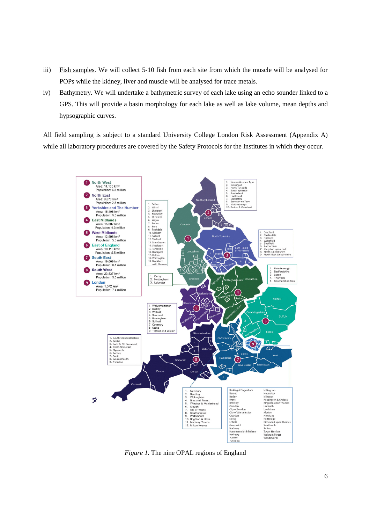- iii) Fish samples. We will collect 5-10 fish from each site from which the muscle will be analysed for POPs while the kidney, liver and muscle will be analysed for trace metals.
- iv) Bathymetry. We will undertake a bathymetric survey of each lake using an echo sounder linked to a GPS. This will provide a basin morphology for each lake as well as lake volume, mean depths and hypsographic curves.

All field sampling is subject to a standard University College London Risk Assessment (Appendix A) while all laboratory procedures are covered by the Safety Protocols for the Institutes in which they occur.



*Figure 1.* The nine OPAL regions of England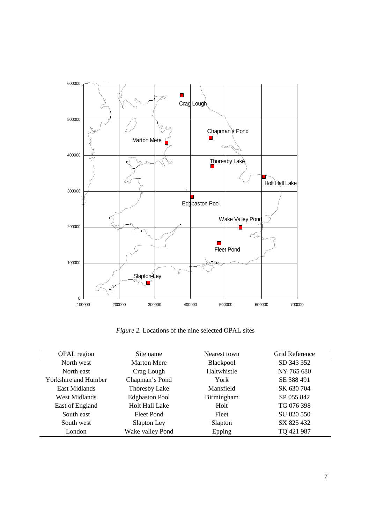

*Figure 2.* Locations of the nine selected OPAL sites

| OPAL region                 | Site name             | Nearest town | Grid Reference |
|-----------------------------|-----------------------|--------------|----------------|
| North west                  | <b>Marton Mere</b>    | Blackpool    | SD 343 352     |
| North east                  | Crag Lough            | Haltwhistle  | NY 765 680     |
| <b>Yorkshire and Humber</b> | Chapman's Pond        | York         | SE 588 491     |
| East Midlands               | Thoresby Lake         | Mansfield    | SK 630704      |
| West Midlands               | <b>Edgbaston Pool</b> | Birmingham   | SP 055 842     |
| East of England             | <b>Holt Hall Lake</b> | Holt         | TG 076 398     |
| South east                  | Fleet Pond            | Fleet        | SU 820 550     |
| South west                  | Slapton Ley           | Slapton      | SX 825 432     |
| London                      | Wake valley Pond      | Epping       | TQ 421 987     |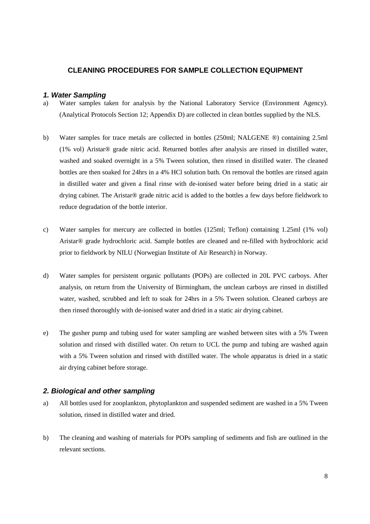## **CLEANING PROCEDURES FOR SAMPLE COLLECTION EQUIPMENT**

#### **1. Water Sampling**

- a) Water samples taken for analysis by the National Laboratory Service (Environment Agency). (Analytical Protocols Section 12; Appendix D) are collected in clean bottles supplied by the NLS.
- b) Water samples for trace metals are collected in bottles (250ml; NALGENE ®) containing 2.5ml (1% vol) Aristar® grade nitric acid. Returned bottles after analysis are rinsed in distilled water, washed and soaked overnight in a 5% Tween solution, then rinsed in distilled water. The cleaned bottles are then soaked for 24hrs in a 4% HCl solution bath. On removal the bottles are rinsed again in distilled water and given a final rinse with de-ionised water before being dried in a static air drying cabinet. The Aristar® grade nitric acid is added to the bottles a few days before fieldwork to reduce degradation of the bottle interior.
- c) Water samples for mercury are collected in bottles (125ml; Teflon) containing 1.25ml (1% vol) Aristar® grade hydrochloric acid. Sample bottles are cleaned and re-filled with hydrochloric acid prior to fieldwork by NILU (Norwegian Institute of Air Research) in Norway.
- d) Water samples for persistent organic pollutants (POPs) are collected in 20L PVC carboys. After analysis, on return from the University of Birmingham, the unclean carboys are rinsed in distilled water, washed, scrubbed and left to soak for 24hrs in a 5% Tween solution. Cleaned carboys are then rinsed thoroughly with de-ionised water and dried in a static air drying cabinet.
- e) The gusher pump and tubing used for water sampling are washed between sites with a 5% Tween solution and rinsed with distilled water. On return to UCL the pump and tubing are washed again with a 5% Tween solution and rinsed with distilled water. The whole apparatus is dried in a static air drying cabinet before storage.

#### **2. Biological and other sampling**

- a) All bottles used for zooplankton, phytoplankton and suspended sediment are washed in a 5% Tween solution, rinsed in distilled water and dried.
- b) The cleaning and washing of materials for POPs sampling of sediments and fish are outlined in the relevant sections.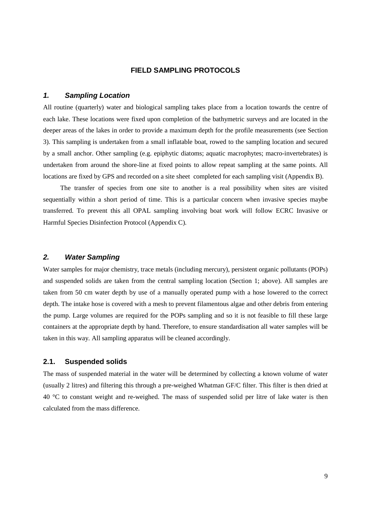#### **FIELD SAMPLING PROTOCOLS**

#### **1. Sampling Location**

All routine (quarterly) water and biological sampling takes place from a location towards the centre of each lake. These locations were fixed upon completion of the bathymetric surveys and are located in the deeper areas of the lakes in order to provide a maximum depth for the profile measurements (see Section 3). This sampling is undertaken from a small inflatable boat, rowed to the sampling location and secured by a small anchor. Other sampling (e.g. epiphytic diatoms; aquatic macrophytes; macro-invertebrates) is undertaken from around the shore-line at fixed points to allow repeat sampling at the same points. All locations are fixed by GPS and recorded on a site sheet completed for each sampling visit (Appendix B).

The transfer of species from one site to another is a real possibility when sites are visited sequentially within a short period of time. This is a particular concern when invasive species maybe transferred. To prevent this all OPAL sampling involving boat work will follow ECRC Invasive or Harmful Species Disinfection Protocol (Appendix C).

#### **2. Water Sampling**

Water samples for major chemistry, trace metals (including mercury), persistent organic pollutants (POPs) and suspended solids are taken from the central sampling location (Section 1; above). All samples are taken from 50 cm water depth by use of a manually operated pump with a hose lowered to the correct depth. The intake hose is covered with a mesh to prevent filamentous algae and other debris from entering the pump. Large volumes are required for the POPs sampling and so it is not feasible to fill these large containers at the appropriate depth by hand. Therefore, to ensure standardisation all water samples will be taken in this way. All sampling apparatus will be cleaned accordingly.

#### **2.1. Suspended solids**

The mass of suspended material in the water will be determined by collecting a known volume of water (usually 2 litres) and filtering this through a pre-weighed Whatman GF/C filter. This filter is then dried at 40 °C to constant weight and re-weighed. The mass of suspended solid per litre of lake water is then calculated from the mass difference.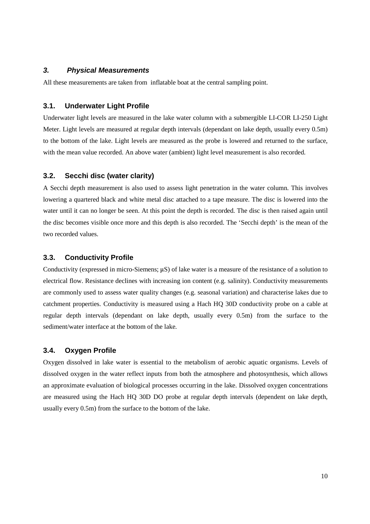#### **3. Physical Measurements**

All these measurements are taken from inflatable boat at the central sampling point.

#### **3.1. Underwater Light Profile**

Underwater light levels are measured in the lake water column with a submergible LI-COR LI-250 Light Meter. Light levels are measured at regular depth intervals (dependant on lake depth, usually every 0.5m) to the bottom of the lake. Light levels are measured as the probe is lowered and returned to the surface, with the mean value recorded. An above water (ambient) light level measurement is also recorded.

#### **3.2. Secchi disc (water clarity)**

A Secchi depth measurement is also used to assess light penetration in the water column. This involves lowering a quartered black and white metal disc attached to a tape measure. The disc is lowered into the water until it can no longer be seen. At this point the depth is recorded. The disc is then raised again until the disc becomes visible once more and this depth is also recorded. The 'Secchi depth' is the mean of the two recorded values.

#### **3.3. Conductivity Profile**

Conductivity (expressed in micro-Siemens;  $\mu$ S) of lake water is a measure of the resistance of a solution to electrical flow. Resistance declines with increasing ion content (e.g. salinity). Conductivity measurements are commonly used to assess water quality changes (e.g. seasonal variation) and characterise lakes due to catchment properties. Conductivity is measured using a Hach HQ 30D conductivity probe on a cable at regular depth intervals (dependant on lake depth, usually every 0.5m) from the surface to the sediment/water interface at the bottom of the lake.

#### **3.4. Oxygen Profile**

Oxygen dissolved in lake water is essential to the metabolism of aerobic aquatic organisms. Levels of dissolved oxygen in the water reflect inputs from both the atmosphere and photosynthesis, which allows an approximate evaluation of biological processes occurring in the lake. Dissolved oxygen concentrations are measured using the Hach HQ 30D DO probe at regular depth intervals (dependent on lake depth, usually every 0.5m) from the surface to the bottom of the lake.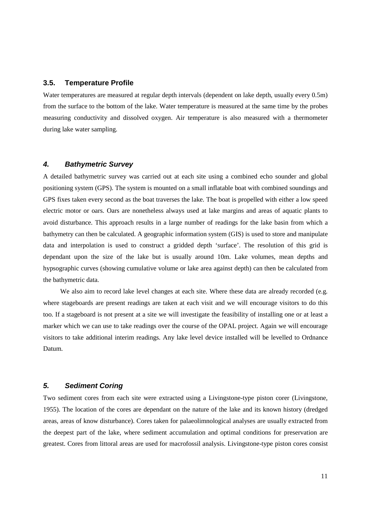#### **3.5. Temperature Profile**

Water temperatures are measured at regular depth intervals (dependent on lake depth, usually every 0.5m) from the surface to the bottom of the lake. Water temperature is measured at the same time by the probes measuring conductivity and dissolved oxygen. Air temperature is also measured with a thermometer during lake water sampling.

#### **4. Bathymetric Survey**

A detailed bathymetric survey was carried out at each site using a combined echo sounder and global positioning system (GPS). The system is mounted on a small inflatable boat with combined soundings and GPS fixes taken every second as the boat traverses the lake. The boat is propelled with either a low speed electric motor or oars. Oars are nonetheless always used at lake margins and areas of aquatic plants to avoid disturbance. This approach results in a large number of readings for the lake basin from which a bathymetry can then be calculated. A geographic information system (GIS) is used to store and manipulate data and interpolation is used to construct a gridded depth 'surface'. The resolution of this grid is dependant upon the size of the lake but is usually around 10m. Lake volumes, mean depths and hypsographic curves (showing cumulative volume or lake area against depth) can then be calculated from the bathymetric data.

We also aim to record lake level changes at each site. Where these data are already recorded (e.g. where stageboards are present readings are taken at each visit and we will encourage visitors to do this too. If a stageboard is not present at a site we will investigate the feasibility of installing one or at least a marker which we can use to take readings over the course of the OPAL project. Again we will encourage visitors to take additional interim readings. Any lake level device installed will be levelled to Ordnance Datum.

#### **5. Sediment Coring**

Two sediment cores from each site were extracted using a Livingstone-type piston corer (Livingstone, 1955). The location of the cores are dependant on the nature of the lake and its known history (dredged areas, areas of know disturbance). Cores taken for palaeolimnological analyses are usually extracted from the deepest part of the lake, where sediment accumulation and optimal conditions for preservation are greatest. Cores from littoral areas are used for macrofossil analysis. Livingstone-type piston cores consist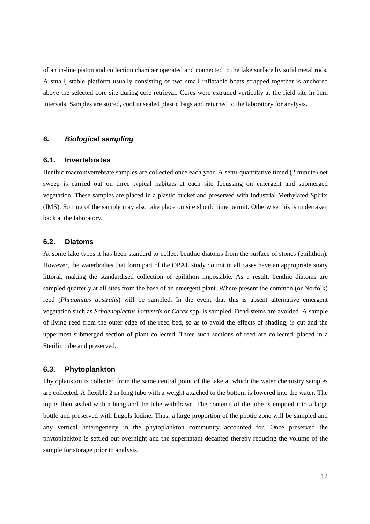of an in-line piston and collection chamber operated and connected to the lake surface by solid metal rods. A small, stable platform usually consisting of two small inflatable boats strapped together is anchored above the selected core site during core retrieval. Cores were extruded vertically at the field site in 1cm intervals. Samples are stored, cool in sealed plastic bags and returned to the laboratory for analysis.

## **6. Biological sampling**

#### **6.1. Invertebrates**

Benthic macroinvertebrate samples are collected once each year. A semi-quantitative timed (2 minute) net sweep is carried out on three typical habitats at each site focussing on emergent and submerged vegetation. These samples are placed in a plastic bucket and preserved with Industrial Methylated Spirits (IMS). Sorting of the sample may also take place on site should time permit. Otherwise this is undertaken back at the laboratory.

#### **6.2. Diatoms**

At some lake types it has been standard to collect benthic diatoms from the surface of stones (epilithon). However, the waterbodies that form part of the OPAL study do not in all cases have an appropriate stony littoral, making the standardised collection of epilithon impossible. As a result, benthic diatoms are sampled quarterly at all sites from the base of an emergent plant. Where present the common (or Norfolk) reed (*Phragmites australis*) will be sampled. In the event that this is absent alternative emergent vegetation such as *Schoenoplectus lactustris* or *Carex* spp. is sampled. Dead stems are avoided. A sample of living reed from the outer edge of the reed bed, so as to avoid the effects of shading, is cut and the uppermost submerged section of plant collected. Three such sections of reed are collected, placed in a Sterilin tube and preserved.

#### **6.3. Phytoplankton**

Phytoplankton is collected from the same central point of the lake at which the water chemistry samples are collected. A flexible 2 m long tube with a weight attached to the bottom is lowered into the water. The top is then sealed with a bung and the tube withdrawn. The contents of the tube is emptied into a large bottle and preserved with Lugols Iodine. Thus, a large proportion of the photic zone will be sampled and any vertical heterogeneity in the phytoplankton community accounted for. Once preserved the phytoplankton is settled out overnight and the supernatant decanted thereby reducing the volume of the sample for storage prior to analysis.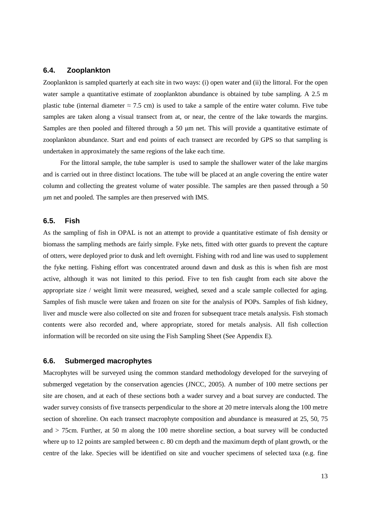#### **6.4. Zooplankton**

Zooplankton is sampled quarterly at each site in two ways: (i) open water and (ii) the littoral. For the open water sample a quantitative estimate of zooplankton abundance is obtained by tube sampling. A 2.5 m plastic tube (internal diameter  $\approx 7.5$  cm) is used to take a sample of the entire water column. Five tube samples are taken along a visual transect from at, or near, the centre of the lake towards the margins. Samples are then pooled and filtered through a 50  $\mu$ m net. This will provide a quantitative estimate of zooplankton abundance. Start and end points of each transect are recorded by GPS so that sampling is undertaken in approximately the same regions of the lake each time.

For the littoral sample, the tube sampler is used to sample the shallower water of the lake margins and is carried out in three distinct locations. The tube will be placed at an angle covering the entire water column and collecting the greatest volume of water possible. The samples are then passed through a 50 m net and pooled. The samples are then preserved with IMS.

#### **6.5. Fish**

As the sampling of fish in OPAL is not an attempt to provide a quantitative estimate of fish density or biomass the sampling methods are fairly simple. Fyke nets, fitted with otter guards to prevent the capture of otters, were deployed prior to dusk and left overnight. Fishing with rod and line was used to supplement the fyke netting. Fishing effort was concentrated around dawn and dusk as this is when fish are most active, although it was not limited to this period. Five to ten fish caught from each site above the appropriate size / weight limit were measured, weighed, sexed and a scale sample collected for aging. Samples of fish muscle were taken and frozen on site for the analysis of POPs. Samples of fish kidney, liver and muscle were also collected on site and frozen for subsequent trace metals analysis. Fish stomach contents were also recorded and, where appropriate, stored for metals analysis. All fish collection information will be recorded on site using the Fish Sampling Sheet (See Appendix E).

#### **6.6. Submerged macrophytes**

Macrophytes will be surveyed using the common standard methodology developed for the surveying of submerged vegetation by the conservation agencies (JNCC, 2005). A number of 100 metre sections per site are chosen, and at each of these sections both a wader survey and a boat survey are conducted. The wader survey consists of five transects perpendicular to the shore at 20 metre intervals along the 100 metre section of shoreline. On each transect macrophyte composition and abundance is measured at 25, 50, 75 and > 75cm. Further, at 50 m along the 100 metre shoreline section, a boat survey will be conducted where up to 12 points are sampled between c. 80 cm depth and the maximum depth of plant growth, or the centre of the lake. Species will be identified on site and voucher specimens of selected taxa (e.g. fine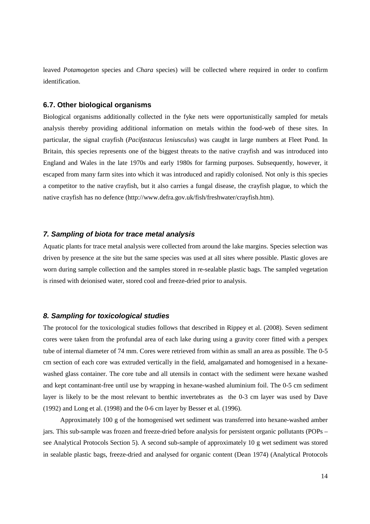leaved *Potamogeton* species and *Chara* species) will be collected where required in order to confirm identification.

#### **6.7. Other biological organisms**

Biological organisms additionally collected in the fyke nets were opportunistically sampled for metals analysis thereby providing additional information on metals within the food-web of these sites. In particular, the signal crayfish (*Pacifastacus leniusculus*) was caught in large numbers at Fleet Pond. In Britain, this species represents one of the biggest threats to the native crayfish and was introduced into England and Wales in the late 1970s and early 1980s for farming purposes. Subsequently, however, it escaped from many farm sites into which it was introduced and rapidly colonised. Not only is this species a competitor to the native crayfish, but it also carries a fungal disease, the crayfish plague, to which the native crayfish has no defence (http://www.defra.gov.uk/fish/freshwater/crayfish.htm).

#### **7. Sampling of biota for trace metal analysis**

Aquatic plants for trace metal analysis were collected from around the lake margins. Species selection was driven by presence at the site but the same species was used at all sites where possible. Plastic gloves are worn during sample collection and the samples stored in re-sealable plastic bags. The sampled vegetation is rinsed with deionised water, stored cool and freeze-dried prior to analysis.

#### **8. Sampling for toxicological studies**

The protocol for the toxicological studies follows that described in Rippey et al. (2008). Seven sediment cores were taken from the profundal area of each lake during using a gravity corer fitted with a perspex tube of internal diameter of 74 mm. Cores were retrieved from within as small an area as possible. The 0-5 cm section of each core was extruded vertically in the field, amalgamated and homogenised in a hexanewashed glass container. The core tube and all utensils in contact with the sediment were hexane washed and kept contaminant-free until use by wrapping in hexane-washed aluminium foil. The 0-5 cm sediment layer is likely to be the most relevant to benthic invertebrates as the 0-3 cm layer was used by Dave (1992) and Long et al. (1998) and the 0-6 cm layer by Besser et al. (1996).

Approximately 100 g of the homogenised wet sediment was transferred into hexane-washed amber jars. This sub-sample was frozen and freeze-dried before analysis for persistent organic pollutants (POPs – see Analytical Protocols Section 5). A second sub-sample of approximately 10 g wet sediment was stored in sealable plastic bags, freeze-dried and analysed for organic content (Dean 1974) (Analytical Protocols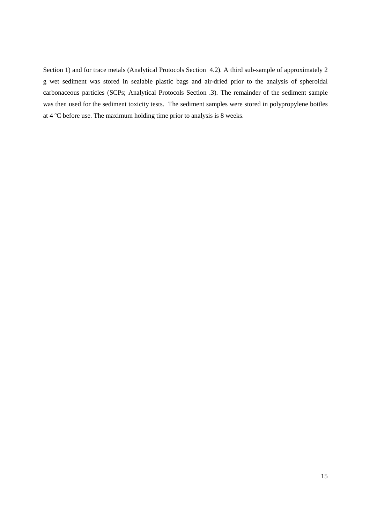Section 1) and for trace metals (Analytical Protocols Section 4.2). A third sub-sample of approximately 2 g wet sediment was stored in sealable plastic bags and air-dried prior to the analysis of spheroidal carbonaceous particles (SCPs; Analytical Protocols Section .3). The remainder of the sediment sample was then used for the sediment toxicity tests. The sediment samples were stored in polypropylene bottles at 4 ºC before use. The maximum holding time prior to analysis is 8 weeks.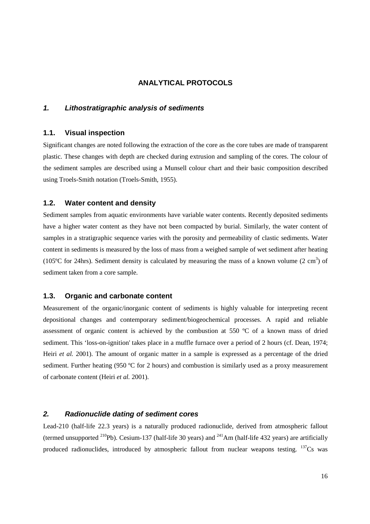#### **ANALYTICAL PROTOCOLS**

#### **1. Lithostratigraphic analysis of sediments**

#### **1.1. Visual inspection**

Significant changes are noted following the extraction of the core as the core tubes are made of transparent plastic. These changes with depth are checked during extrusion and sampling of the cores. The colour of the sediment samples are described using a Munsell colour chart and their basic composition described using Troels-Smith notation (Troels-Smith, 1955).

#### **1.2. Water content and density**

Sediment samples from aquatic environments have variable water contents. Recently deposited sediments have a higher water content as they have not been compacted by burial. Similarly, the water content of samples in a stratigraphic sequence varies with the porosity and permeability of clastic sediments. Water content in sediments is measured by the loss of mass from a weighed sample of wet sediment after heating (105°C for 24hrs). Sediment density is calculated by measuring the mass of a known volume (2 cm<sup>3</sup>) of sediment taken from a core sample.

#### **1.3. Organic and carbonate content**

Measurement of the organic/inorganic content of sediments is highly valuable for interpreting recent depositional changes and contemporary sediment/biogeochemical processes. A rapid and reliable assessment of organic content is achieved by the combustion at 550  $^{\circ}$ C of a known mass of dried sediment. This 'loss-on-ignition' takes place in a muffle furnace over a period of 2 hours (cf. Dean, 1974; Heiri *et al.* 2001). The amount of organic matter in a sample is expressed as a percentage of the dried sediment. Further heating (950 °C for 2 hours) and combustion is similarly used as a proxy measurement of carbonate content (Heiri *et al.* 2001).

#### **2. Radionuclide dating of sediment cores**

Lead-210 (half-life 22.3 years) is a naturally produced radionuclide, derived from atmospheric fallout (termed unsupported  $^{210}$ Pb). Cesium-137 (half-life 30 years) and  $^{241}$ Am (half-life 432 years) are artificially produced radionuclides, introduced by atmospheric fallout from nuclear weapons testing.  $137Cs$  was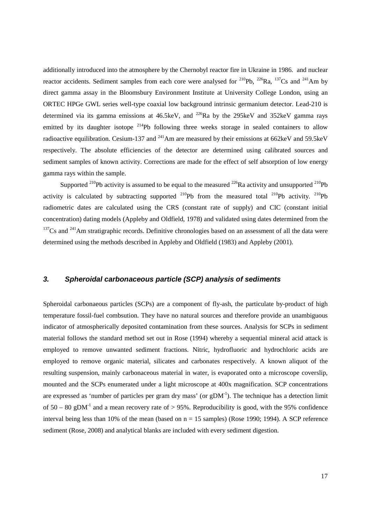additionally introduced into the atmosphere by the Chernobyl reactor fire in Ukraine in 1986. and nuclear reactor accidents. Sediment samples from each core were analysed for  $^{210}Pb$ ,  $^{226}Ra$ ,  $^{137}Cs$  and  $^{241}Am$  by direct gamma assay in the Bloomsbury Environment Institute at University College London, using an ORTEC HPGe GWL series well-type coaxial low background intrinsic germanium detector. Lead-210 is determined via its gamma emissions at 46.5keV, and  $^{226}$ Ra by the 295keV and 352keV gamma rays emitted by its daughter isotope  $^{214}Pb$  following three weeks storage in sealed containers to allow radioactive equilibration. Cesium-137 and  $^{241}$ Am are measured by their emissions at 662keV and 59.5keV respectively. The absolute efficiencies of the detector are determined using calibrated sources and sediment samples of known activity. Corrections are made for the effect of self absorption of low energy gamma rays within the sample.

Supported <sup>210</sup>Pb activity is assumed to be equal to the measured <sup>226</sup>Ra activity and unsupported <sup>210</sup>Pb activity is calculated by subtracting supported  $^{210}Pb$  from the measured total  $^{210}Pb$  activity.  $^{210}Pb$ radiometric dates are calculated using the CRS (constant rate of supply) and CIC (constant initial concentration) dating models (Appleby and Oldfield, 1978) and validated using dates determined from the  $137$ Cs and  $241$ Am stratigraphic records. Definitive chronologies based on an assessment of all the data were determined using the methods described in Appleby and Oldfield (1983) and Appleby (2001).

#### **3. Spheroidal carbonaceous particle (SCP) analysis of sediments**

Spheroidal carbonaeous particles (SCPs) are a component of fly-ash, the particulate by-product of high temperature fossil-fuel combsution. They have no natural sources and therefore provide an unambiguous indicator of atmospherically deposited contamination from these sources. Analysis for SCPs in sediment material follows the standard method set out in Rose (1994) whereby a sequential mineral acid attack is employed to remove unwanted sediment fractions. Nitric, hydrofluoric and hydrochloric acids are employed to remove organic material, silicates and carbonates respectively. A known aliquot of the resulting suspension, mainly carbonaceous material in water, is evaporated onto a microscope coverslip, mounted and the SCPs enumerated under a light microscope at 400x magnification. SCP concentrations are expressed as 'number of particles per gram dry mass' (or  $gDM^{-1}$ ). The technique has a detection limit of  $50 - 80$  gDM<sup>-1</sup> and a mean recovery rate of  $> 95\%$ . Reproducibility is good, with the 95% confidence interval being less than 10% of the mean (based on  $n = 15$  samples) (Rose 1990; 1994). A SCP reference sediment (Rose, 2008) and analytical blanks are included with every sediment digestion.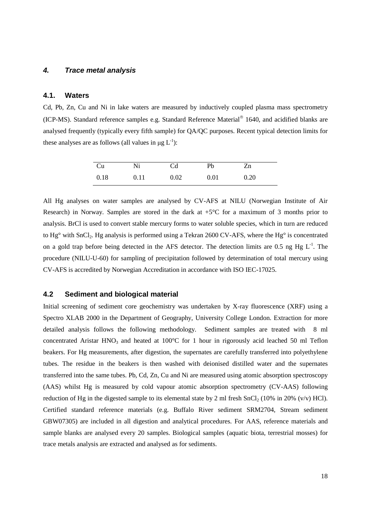#### **4. Trace metal analysis**

#### **4.1. Waters**

Cd, Pb, Zn, Cu and Ni in lake waters are measured by inductively coupled plasma mass spectrometry (ICP-MS). Standard reference samples e.g. Standard Reference Material<sup>®</sup> 1640, and acidified blanks are analysed frequently (typically every fifth sample) for QA/QC purposes. Recent typical detection limits for these analyses are as follows (all values in  $\mu$ g L<sup>-1</sup>):

| Cu   | Ni   | C <sub>d</sub> | Pb   | Zn   |
|------|------|----------------|------|------|
| 0.18 | 0.11 | 0.02           | 0.01 | 0.20 |

All Hg analyses on water samples are analysed by CV-AFS at NILU (Norwegian Institute of Air Research) in Norway. Samples are stored in the dark at  $+5^{\circ}$ C for a maximum of 3 months prior to analysis. BrCl is used to convert stable mercury forms to water soluble species, which in turn are reduced to Hg° with SnCl<sub>2</sub>. Hg analysis is performed using a Tekran 2600 CV-AFS, where the Hg° is concentrated on a gold trap before being detected in the AFS detector. The detection limits are 0.5 ng Hg  $L^{-1}$ . The procedure (NILU-U-60) for sampling of precipitation followed by determination of total mercury using CV-AFS is accredited by Norwegian Accreditation in accordance with ISO IEC-17025.

#### **4.2 Sediment and biological material**

Initial screening of sediment core geochemistry was undertaken by X-ray fluorescence (XRF) using a Spectro XLAB 2000 in the Department of Geography, University College London. Extraction for more detailed analysis follows the following methodology. Sediment samples are treated with 8 ml concentrated Aristar HNO<sub>3</sub> and heated at  $100^{\circ}$ C for 1 hour in rigorously acid leached 50 ml Teflon beakers. For Hg measurements, after digestion, the supernates are carefully transferred into polyethylene tubes. The residue in the beakers is then washed with deionised distilled water and the supernates transferred into the same tubes. Pb, Cd, Zn, Cu and Ni are measured using atomic absorption spectroscopy (AAS) whilst Hg is measured by cold vapour atomic absorption spectrometry (CV-AAS) following reduction of Hg in the digested sample to its elemental state by 2 ml fresh SnCl<sub>2</sub> (10% in 20% (v/v) HCl). Certified standard reference materials (e.g. Buffalo River sediment SRM2704, Stream sediment GBW07305) are included in all digestion and analytical procedures. For AAS, reference materials and sample blanks are analysed every 20 samples. Biological samples (aquatic biota, terrestrial mosses) for trace metals analysis are extracted and analysed as for sediments.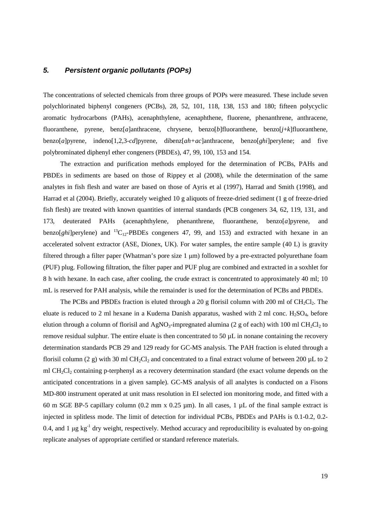#### **5. Persistent organic pollutants (POPs)**

The concentrations of selected chemicals from three groups of POPs were measured. These include seven polychlorinated biphenyl congeners (PCBs), 28, 52, 101, 118, 138, 153 and 180; fifteen polycyclic aromatic hydrocarbons (PAHs), acenaphthylene, acenaphthene, fluorene, phenanthrene, anthracene, fluoranthene, pyrene, benz[*a*]anthracene, chrysene, benzo[*b*]fluoranthene, benzo[*j*+*k*]fluoranthene, benzo[*a*]pyrene, indeno[1,2,3-*cd*]pyrene, dibenz[*ah+ac*]anthracene, benzo[*ghi*]perylene; and five polybrominated diphenyl ether congeners (PBDEs), 47, 99, 100, 153 and 154.

The extraction and purification methods employed for the determination of PCBs, PAHs and PBDEs in sediments are based on those of Rippey et al (2008), while the determination of the same analytes in fish flesh and water are based on those of Ayris et al (1997), Harrad and Smith (1998), and Harrad et al (2004). Briefly, accurately weighed 10 g aliquots of freeze-dried sediment (1 g of freeze-dried fish flesh) are treated with known quantities of internal standards (PCB congeners 34, 62, 119, 131, and 173, deuterated PAHs (acenaphthylene, phenanthrene, fluoranthene, benzo[*a*]pyrene, and benzo[*ghi*]perylene) and <sup>13</sup>C<sub>12</sub>-PBDEs congeners 47, 99, and 153) and extracted with hexane in an accelerated solvent extractor (ASE, Dionex, UK). For water samples, the entire sample (40 L) is gravity filtered through a filter paper (Whatman's pore size  $1 \mu m$ ) followed by a pre-extracted polyurethane foam (PUF) plug. Following filtration, the filter paper and PUF plug are combined and extracted in a soxhlet for 8 h with hexane. In each case, after cooling, the crude extract is concentrated to approximately 40 ml; 10 mL is reserved for PAH analysis, while the remainder is used for the determination of PCBs and PBDEs.

The PCBs and PBDEs fraction is eluted through a 20 g florisil column with 200 ml of  $CH_2Cl_2$ . The eluate is reduced to 2 ml hexane in a Kuderna Danish apparatus, washed with 2 ml conc.  $H_2SO_4$ , before elution through a column of florisil and AgNO<sub>3</sub>-impregnated alumina (2 g of each) with 100 ml CH<sub>2</sub>Cl<sub>2</sub> to remove residual sulphur. The entire eluate is then concentrated to 50 µL in nonane containing the recovery determination standards PCB 29 and 129 ready for GC-MS analysis. The PAH fraction is eluted through a florisil column (2 g) with 30 ml CH<sub>2</sub>Cl<sub>2</sub> and concentrated to a final extract volume of between 200 µL to 2 ml CH2Cl2 containing p-terphenyl as a recovery determination standard (the exact volume depends on the anticipated concentrations in a given sample). GC-MS analysis of all analytes is conducted on a Fisons MD-800 instrument operated at unit mass resolution in EI selected ion monitoring mode, and fitted with a 60 m SGE BP-5 capillary column (0.2 mm x 0.25 µm). In all cases, 1  $\mu$ L of the final sample extract is injected in splitless mode. The limit of detection for individual PCBs, PBDEs and PAHs is 0.1-0.2, 0.2- 0.4, and 1  $\mu$ g kg<sup>-1</sup> dry weight, respectively. Method accuracy and reproducibility is evaluated by on-going replicate analyses of appropriate certified or standard reference materials.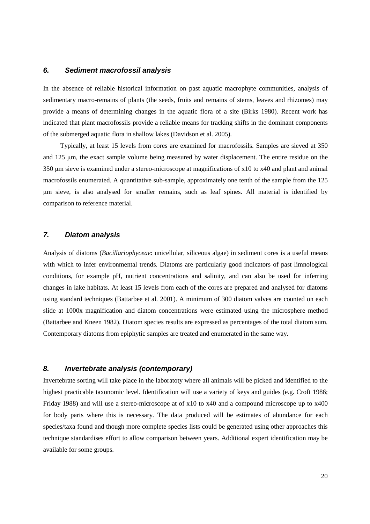#### **6. Sediment macrofossil analysis**

In the absence of reliable historical information on past aquatic macrophyte communities, analysis of sedimentary macro-remains of plants (the seeds, fruits and remains of stems, leaves and rhizomes) may provide a means of determining changes in the aquatic flora of a site (Birks 1980). Recent work has indicated that plant macrofossils provide a reliable means for tracking shifts in the dominant components of the submerged aquatic flora in shallow lakes (Davidson et al. 2005).

Typically, at least 15 levels from cores are examined for macrofossils. Samples are sieved at 350 and 125 µm, the exact sample volume being measured by water displacement. The entire residue on the 350 m sieve is examined under a stereo-microscope at magnifications of x10 to x40 and plant and animal macrofossils enumerated. A quantitative sub-sample, approximately one tenth of the sample from the 125 m sieve, is also analysed for smaller remains, such as leaf spines. All material is identified by comparison to reference material.

#### **7. Diatom analysis**

Analysis of diatoms (*Bacillariophyceae*: unicellular, siliceous algae) in sediment cores is a useful means with which to infer environmental trends. Diatoms are particularly good indicators of past limnological conditions, for example pH, nutrient concentrations and salinity, and can also be used for inferring changes in lake habitats. At least 15 levels from each of the cores are prepared and analysed for diatoms using standard techniques (Battarbee et al. 2001). A minimum of 300 diatom valves are counted on each slide at 1000x magnification and diatom concentrations were estimated using the microsphere method (Battarbee and Kneen 1982). Diatom species results are expressed as percentages of the total diatom sum. Contemporary diatoms from epiphytic samples are treated and enumerated in the same way.

#### **8. Invertebrate analysis (contemporary)**

Invertebrate sorting will take place in the laboratoty where all animals will be picked and identified to the highest practicable taxonomic level. Identification will use a variety of keys and guides (e.g. Croft 1986; Friday 1988) and will use a stereo-microscope at of x10 to x40 and a compound microscope up to x400 for body parts where this is necessary. The data produced will be estimates of abundance for each species/taxa found and though more complete species lists could be generated using other approaches this technique standardises effort to allow comparison between years. Additional expert identification may be available for some groups.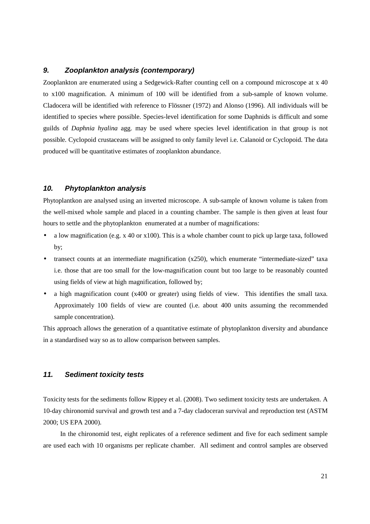#### **9. Zooplankton analysis (contemporary)**

Zooplankton are enumerated using a Sedgewick-Rafter counting cell on a compound microscope at x 40 to x100 magnification. A minimum of 100 will be identified from a sub-sample of known volume. Cladocera will be identified with reference to Flössner (1972) and Alonso (1996). All individuals will be identified to species where possible. Species-level identification for some Daphnids is difficult and some guilds of *Daphnia hyalina* agg. may be used where species level identification in that group is not possible. Cyclopoid crustaceans will be assigned to only family level i.e. Calanoid or Cyclopoid. The data produced will be quantitative estimates of zooplankton abundance.

#### **10. Phytoplankton analysis**

Phytoplantkon are analysed using an inverted microscope. A sub-sample of known volume is taken from the well-mixed whole sample and placed in a counting chamber. The sample is then given at least four hours to settle and the phytoplankton enumerated at a number of magnifications:

- a low magnification (e.g. x 40 or x100). This is a whole chamber count to pick up large taxa, followed by;
- transect counts at an intermediate magnification (x250), which enumerate "intermediate-sized" taxa i.e. those that are too small for the low-magnification count but too large to be reasonably counted using fields of view at high magnification, followed by;
- a high magnification count (x400 or greater) using fields of view. This identifies the small taxa. Approximately 100 fields of view are counted (i.e. about 400 units assuming the recommended sample concentration).

This approach allows the generation of a quantitative estimate of phytoplankton diversity and abundance in a standardised way so as to allow comparison between samples.

#### **11. Sediment toxicity tests**

Toxicity tests for the sediments follow Rippey et al. (2008). Two sediment toxicity tests are undertaken. A 10-day chironomid survival and growth test and a 7-day cladoceran survival and reproduction test (ASTM 2000; US EPA 2000).

In the chironomid test, eight replicates of a reference sediment and five for each sediment sample are used each with 10 organisms per replicate chamber. All sediment and control samples are observed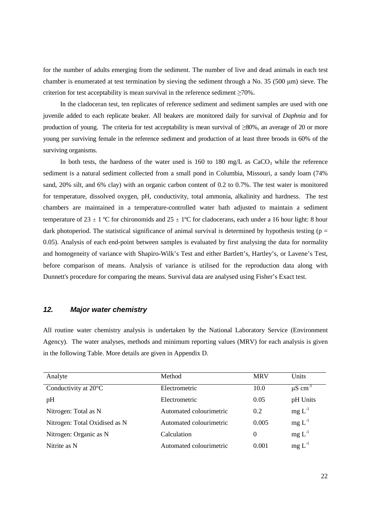for the number of adults emerging from the sediment. The number of live and dead animals in each test chamber is enumerated at test termination by sieving the sediment through a No.  $35$  ( $500 \mu m$ ) sieve. The criterion for test acceptability is mean survival in the reference sediment  $\geq 70\%$ .

In the cladoceran test, ten replicates of reference sediment and sediment samples are used with one juvenile added to each replicate beaker. All beakers are monitored daily for survival of *Daphnia* and for production of young. The criteria for test acceptability is mean survival of  $\geq 80\%$ , an average of 20 or more young per surviving female in the reference sediment and production of at least three broods in 60% of the surviving organisms.

In both tests, the hardness of the water used is 160 to 180 mg/L as  $CaCO<sub>3</sub>$  while the reference sediment is a natural sediment collected from a small pond in Columbia, Missouri, a sandy loam (74% sand, 20% silt, and 6% clay) with an organic carbon content of 0.2 to 0.7%. The test water is monitored for temperature, dissolved oxygen, pH, conductivity, total ammonia, alkalinity and hardness. The test chambers are maintained in a temperature-controlled water bath adjusted to maintain a sediment temperature of 23  $\pm$  1 °C for chironomids and 25  $\pm$  1°C for cladocerans, each under a 16 hour light: 8 hour dark photoperiod. The statistical significance of animal survival is determined by hypothesis testing ( $p =$ 0.05). Analysis of each end-point between samples is evaluated by first analysing the data for normality and homogeneity of variance with Shapiro-Wilk's Test and either Bartlett's, Hartley's, or Lavene's Test, before comparison of means. Analysis of variance is utilised for the reproduction data along with Dunnett's procedure for comparing the means. Survival data are analysed using Fisher's Exact test.

## **12. Major water chemistry**

All routine water chemistry analysis is undertaken by the National Laboratory Service (Environment Agency). The water analyses, methods and minimum reporting values (MRV) for each analysis is given in the following Table. More details are given in Appendix D.

| Analyte                       | Method                  | <b>MRV</b> | Units                    |
|-------------------------------|-------------------------|------------|--------------------------|
| Conductivity at 20°C          | Electrometric           | 10.0       | $\mu$ S cm <sup>-1</sup> |
| pH                            | Electrometric           | 0.05       | pH Units                 |
| Nitrogen: Total as N          | Automated colourimetric | 0.2        | $mg L^{-1}$              |
| Nitrogen: Total Oxidised as N | Automated colourimetric | 0.005      | $mg L^{-1}$              |
| Nitrogen: Organic as N        | Calculation             | $\Omega$   | $mg L^{-1}$              |
| Nitrite as N                  | Automated colourimetric | 0.001      | $mg L^{-1}$              |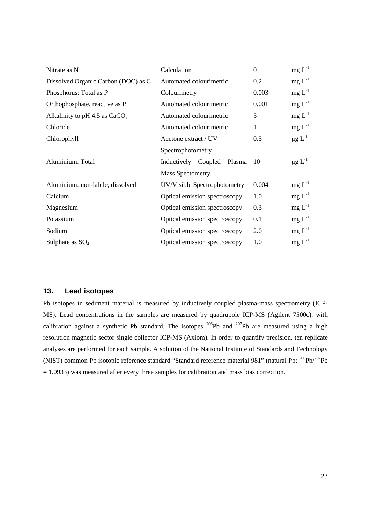| Calculation                      | $\mathbf{0}$ | $mg L^{-1}$             |
|----------------------------------|--------------|-------------------------|
| Automated colourimetric          | 0.2          | $mg L^{-1}$             |
| Colourimetry                     | 0.003        | $mg L^{-1}$             |
| Automated colourimetric          | 0.001        | $mg L^{-1}$             |
| Automated colourimetric          | 5            | $mg L^{-1}$             |
| Automated colourimetric          | 1            | $mg L^{-1}$             |
| Acetone extract / UV             | 0.5          | $\mu$ g L <sup>-1</sup> |
| Spectrophotometry                |              |                         |
| Inductively<br>Coupled<br>Plasma | 10           | $\mu$ g L <sup>-1</sup> |
| Mass Spectometry.                |              |                         |
| UV/Visible Spectrophotometry     | 0.004        | $mg L^{-1}$             |
| Optical emission spectroscopy    | 1.0          | $mg L^{-1}$             |
| Optical emission spectroscopy    | 0.3          | $mg L^{-1}$             |
| Optical emission spectroscopy    | 0.1          | $mg L^{-1}$             |
| Optical emission spectroscopy    | 2.0          | $mg L^{-1}$             |
| Optical emission spectroscopy    | 1.0          | $mg L^{-1}$             |
|                                  |              |                         |

#### **13. Lead isotopes**

Pb isotopes in sediment material is measured by inductively coupled plasma-mass spectrometry (ICP-MS). Lead concentrations in the samples are measured by quadrupole ICP-MS (Agilent 7500c), with calibration against a synthetic Pb standard. The isotopes  $^{206}Pb$  and  $^{207}Pb$  are measured using a high resolution magnetic sector single collector ICP-MS (Axiom). In order to quantify precision, ten replicate analyses are performed for each sample. A solution of the National Institute of Standards and Technology (NIST) common Pb isotopic reference standard "Standard reference material 981" (natural Pb; <sup>206</sup>Pb/<sup>207</sup>Pb = 1.0933) was measured after every three samples for calibration and mass bias correction.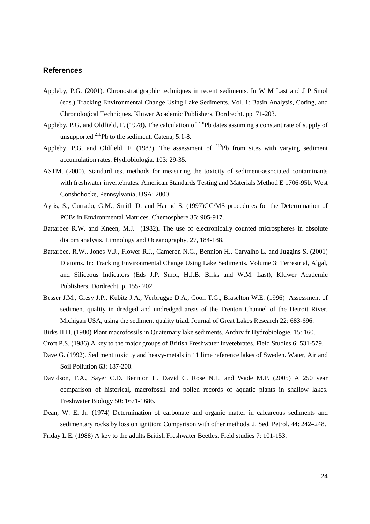#### **References**

- Appleby, P.G. (2001). Chronostratigraphic techniques in recent sediments. In W M Last and J P Smol (eds.) Tracking Environmental Change Using Lake Sediments. Vol. 1: Basin Analysis, Coring, and Chronological Techniques. Kluwer Academic Publishers, Dordrecht. pp171-203.
- Appleby, P.G. and Oldfield, F. (1978). The calculation of  $^{210}Pb$  dates assuming a constant rate of supply of unsupported  $^{210}$ Pb to the sediment. Catena, 5:1-8.
- Appleby, P.G. and Oldfield, F. (1983). The assessment of <sup>210</sup>Pb from sites with varying sediment accumulation rates. Hydrobiologia. 103: 29-35.
- ASTM. (2000). Standard test methods for measuring the toxicity of sediment-associated contaminants with freshwater invertebrates. American Standards Testing and Materials Method E 1706-95b, West Conshohocke, Pennsylvania, USA; 2000
- Ayris, S., Currado, G.M., Smith D. and Harrad S. (1997)GC/MS procedures for the Determination of PCBs in Environmental Matrices. Chemosphere 35: 905-917.
- Battarbee R.W. and Kneen, M.J. (1982). The use of electronically counted microspheres in absolute diatom analysis. Limnology and Oceanography*,* 27, 184-188.
- Battarbee, R.W., Jones V.J., Flower R.J., Cameron N.G., Bennion H., Carvalho L. and Juggins S. (2001) Diatoms. In: Tracking Environmental Change Using Lake Sediments. Volume 3: Terrestrial, Algal, and Siliceous Indicators (Eds J.P. Smol, H.J.B. Birks and W.M. Last), Kluwer Academic Publishers, Dordrecht. p. 155- 202.
- Besser J.M., Giesy J.P., Kubitz J.A., Verbrugge D.A., Coon T.G., Braselton W.E. (1996) Assessment of sediment quality in dredged and undredged areas of the Trenton Channel of the Detroit River, Michigan USA, using the sediment quality triad. Journal of Great Lakes Research 22: 683-696.
- Birks H.H. (1980) Plant macrofossils in Quaternary lake sediments. Archiv fr Hydrobiologie. 15: 160.
- Croft P.S. (1986) A key to the major groups of British Freshwater Invetebrates. Field Studies 6: 531-579.
- Dave G. (1992). Sediment toxicity and heavy-metals in 11 lime reference lakes of Sweden. Water, Air and Soil Pollution 63: 187-200.
- Davidson, T.A., Sayer C.D. Bennion H. David C. Rose N.L. and Wade M.P. (2005) A 250 year comparison of historical, macrofossil and pollen records of aquatic plants in shallow lakes. Freshwater Biology 50: 1671-1686.
- Dean, W. E. Jr. (1974) Determination of carbonate and organic matter in calcareous sediments and sedimentary rocks by loss on ignition: Comparison with other methods. J. Sed. Petrol. 44: 242–248.
- Friday L.E. (1988) A key to the adults British Freshwater Beetles. Field studies 7: 101-153.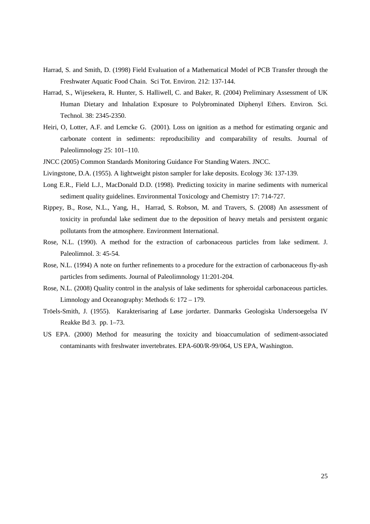- Harrad, S. and Smith, D. (1998) Field Evaluation of a Mathematical Model of PCB Transfer through the Freshwater Aquatic Food Chain. Sci Tot. Environ. 212: 137-144.
- Harrad, S., Wijesekera, R. Hunter, S. Halliwell, C. and Baker, R. (2004) Preliminary Assessment of UK Human Dietary and Inhalation Exposure to Polybrominated Diphenyl Ethers. Environ. Sci. Technol. 38: 2345-2350.
- Heiri, O, Lotter, A.F. and Lemcke G. (2001). Loss on ignition as a method for estimating organic and carbonate content in sediments: reproducibility and comparability of results. Journal of Paleolimnology 25: 101-110.
- JNCC (2005) Common Standards Monitoring Guidance For Standing Waters. JNCC.
- Livingstone, D.A. (1955). A lightweight piston sampler for lake deposits. Ecology 36: 137-139.
- Long E.R., Field L.J., MacDonald D.D. (1998). Predicting toxicity in marine sediments with numerical sediment quality guidelines. Environmental Toxicology and Chemistry 17: 714-727.
- Rippey, B., Rose, N.L., Yang, H., Harrad, S. Robson, M. and Travers, S. (2008) An assessment of toxicity in profundal lake sediment due to the deposition of heavy metals and persistent organic pollutants from the atmosphere. Environment International.
- Rose, N.L. (1990). A method for the extraction of carbonaceous particles from lake sediment. J. Paleolimnol. 3: 45-54.
- Rose, N.L. (1994) A note on further refinements to a procedure for the extraction of carbonaceous fly-ash particles from sediments. Journal of Paleolimnology 11:201-204.
- Rose, N.L. (2008) Quality control in the analysis of lake sediments for spheroidal carbonaceous particles. Limnology and Oceanography: Methods 6: 172 – 179.
- Tröels-Smith, J. (1955). Karakterisaring af Løse jordarter. Danmarks Geologiska Undersoegelsa IV Reakke Bd 3. pp. 1–73.
- US EPA. (2000) Method for measuring the toxicity and bioaccumulation of sediment-associated contaminants with freshwater invertebrates. EPA-600/R-99/064, US EPA, Washington.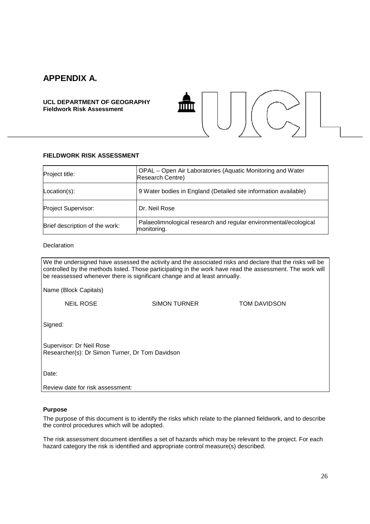# **APPENDIX A.**

**UCL DEPARTMENT OF GEOGRAPHY Fieldwork Risk Assessment** 



#### **FIELDWORK RISK ASSESSMENT**

| Project title:                 | OPAL - Open Air Laboratories (Aquatic Monitoring and Water<br>Research Centre)  |  |  |
|--------------------------------|---------------------------------------------------------------------------------|--|--|
| $Location(s)$ :                | 9 Water bodies in England (Detailed site information available)                 |  |  |
| Project Supervisor:            | Dr. Neil Rose                                                                   |  |  |
| Brief description of the work: | Palaeolimnological research and regular environmental/ecological<br>monitoring. |  |  |

#### **Declaration**

We the undersigned have assessed the activity and the associated risks and declare that the risks will be controlled by the methods listed. Those participating in the work have read the assessment. The work will be reassessed whenever there is significant change and at least annually.

Name (Block Capitals)

NEIL ROSE SIMON TURNER TOM DAVIDSON

Signed:

Supervisor: Dr Neil Rose Researcher(s): Dr Simon Turner, Dr Tom Davidson

Date:

Review date for risk assessment:

#### **Purpose**

The purpose of this document is to identify the risks which relate to the planned fieldwork, and to describe the control procedures which will be adopted.

The risk assessment document identifies a set of hazards which may be relevant to the project. For each hazard category the risk is identified and appropriate control measure(s) described.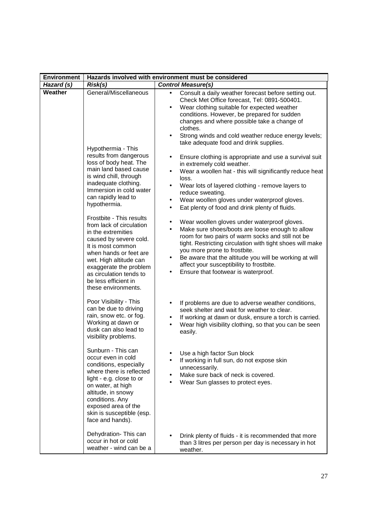| <b>Environment</b> |                                                                                                                                                                                                                                                                                                                                                                                                                                                                                                            | Hazards involved with environment must be considered                                                                                                                                                                                                                                                                                                                                                                                                                                                                                                                                                                                                                                                                                                                                                                                                                                                                                                                                                                                                                                                                                                                                                                 |  |  |
|--------------------|------------------------------------------------------------------------------------------------------------------------------------------------------------------------------------------------------------------------------------------------------------------------------------------------------------------------------------------------------------------------------------------------------------------------------------------------------------------------------------------------------------|----------------------------------------------------------------------------------------------------------------------------------------------------------------------------------------------------------------------------------------------------------------------------------------------------------------------------------------------------------------------------------------------------------------------------------------------------------------------------------------------------------------------------------------------------------------------------------------------------------------------------------------------------------------------------------------------------------------------------------------------------------------------------------------------------------------------------------------------------------------------------------------------------------------------------------------------------------------------------------------------------------------------------------------------------------------------------------------------------------------------------------------------------------------------------------------------------------------------|--|--|
| Hazard (s)         | Risk(s)                                                                                                                                                                                                                                                                                                                                                                                                                                                                                                    | <b>Control Measure(s)</b>                                                                                                                                                                                                                                                                                                                                                                                                                                                                                                                                                                                                                                                                                                                                                                                                                                                                                                                                                                                                                                                                                                                                                                                            |  |  |
| Weather            | General/Miscellaneous<br>Hypothermia - This<br>results from dangerous<br>loss of body heat. The<br>main land based cause<br>is wind chill, through<br>inadequate clothing.<br>Immersion in cold water<br>can rapidly lead to<br>hypothermia.<br>Frostbite - This results<br>from lack of circulation<br>in the extremities<br>caused by severe cold.<br>It is most common<br>when hands or feet are<br>wet. High altitude can<br>exaggerate the problem<br>as circulation tends to<br>be less efficient in | Consult a daily weather forecast before setting out.<br>$\bullet$<br>Check Met Office forecast, Tel: 0891-500401.<br>Wear clothing suitable for expected weather<br>$\bullet$<br>conditions. However, be prepared for sudden<br>changes and where possible take a change of<br>clothes.<br>Strong winds and cold weather reduce energy levels;<br>$\bullet$<br>take adequate food and drink supplies.<br>Ensure clothing is appropriate and use a survival suit<br>in extremely cold weather.<br>Wear a woollen hat - this will significantly reduce heat<br>٠<br>loss.<br>Wear lots of layered clothing - remove layers to<br>$\bullet$<br>reduce sweating.<br>Wear woollen gloves under waterproof gloves.<br>$\bullet$<br>Eat plenty of food and drink plenty of fluids.<br>$\bullet$<br>Wear woollen gloves under waterproof gloves.<br>$\bullet$<br>Make sure shoes/boots are loose enough to allow<br>room for two pairs of warm socks and still not be<br>tight. Restricting circulation with tight shoes will make<br>you more prone to frostbite.<br>Be aware that the altitude you will be working at will<br>$\bullet$<br>affect your susceptibility to frostbite.<br>Ensure that footwear is waterproof. |  |  |
|                    | these environments.<br>Poor Visibility - This<br>can be due to driving<br>rain, snow etc. or fog.<br>Working at dawn or<br>dusk can also lead to<br>visibility problems.<br>Sunburn - This can<br>occur even in cold<br>conditions, especially<br>where there is reflected<br>light - e.g. close to or<br>on water, at high<br>altitude, in snowy<br>conditions. Any<br>exposed area of the<br>skin is susceptible (esp.<br>face and hands).                                                               | If problems are due to adverse weather conditions,<br>seek shelter and wait for weather to clear.<br>If working at dawn or dusk, ensure a torch is carried.<br>Wear high visibility clothing, so that you can be seen<br>easily.<br>Use a high factor Sun block<br>If working in full sun, do not expose skin<br>unnecessarily.<br>Make sure back of neck is covered.<br>Wear Sun glasses to protect eyes.                                                                                                                                                                                                                                                                                                                                                                                                                                                                                                                                                                                                                                                                                                                                                                                                           |  |  |
|                    | Dehydration- This can<br>occur in hot or cold<br>weather - wind can be a                                                                                                                                                                                                                                                                                                                                                                                                                                   | Drink plenty of fluids - it is recommended that more<br>than 3 litres per person per day is necessary in hot<br>weather.                                                                                                                                                                                                                                                                                                                                                                                                                                                                                                                                                                                                                                                                                                                                                                                                                                                                                                                                                                                                                                                                                             |  |  |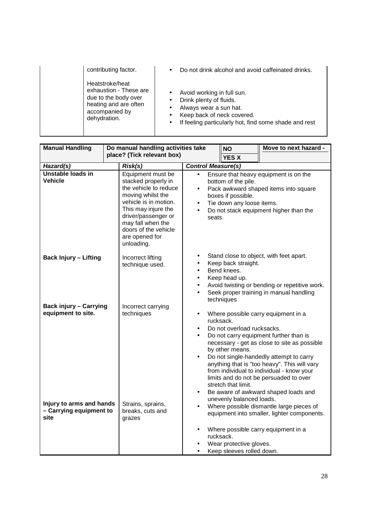| contributing factor.                                                                                                         | Do not drink alcohol and avoid caffeinated drinks.<br>$\bullet$                                                                                                                                                                         |
|------------------------------------------------------------------------------------------------------------------------------|-----------------------------------------------------------------------------------------------------------------------------------------------------------------------------------------------------------------------------------------|
| Heatstroke/heat<br>exhaustion - These are<br>due to the body over<br>heating and are often<br>accompanied by<br>dehydration. | Avoid working in full sun.<br>$\bullet$<br>Drink plenty of fluids.<br>$\bullet$<br>Always wear a sun hat.<br>$\bullet$<br>Keep back of neck covered.<br>$\bullet$<br>If feeling particularly hot, find some shade and rest<br>$\bullet$ |

| <b>Manual Handling</b>                                      | Do manual handling activities take                                                                                                                                                                                                                                                                                             |                                                                                                                                                                                                                                                                  | <b>NO</b>                                                                        | Move to next hazard -                                                                                                                                                                                                                                                                                                                                   |
|-------------------------------------------------------------|--------------------------------------------------------------------------------------------------------------------------------------------------------------------------------------------------------------------------------------------------------------------------------------------------------------------------------|------------------------------------------------------------------------------------------------------------------------------------------------------------------------------------------------------------------------------------------------------------------|----------------------------------------------------------------------------------|---------------------------------------------------------------------------------------------------------------------------------------------------------------------------------------------------------------------------------------------------------------------------------------------------------------------------------------------------------|
|                                                             | place? (Tick relevant box)                                                                                                                                                                                                                                                                                                     | <b>YES X</b>                                                                                                                                                                                                                                                     |                                                                                  |                                                                                                                                                                                                                                                                                                                                                         |
| Hazard(s)                                                   | Risk(s)                                                                                                                                                                                                                                                                                                                        | <b>Control Measure(s)</b>                                                                                                                                                                                                                                        |                                                                                  |                                                                                                                                                                                                                                                                                                                                                         |
| Unstable loads in<br><b>Vehicle</b>                         | Equipment must be<br>stacked properly in<br>the vehicle to reduce<br>moving whilst the<br>vehicle is in motion.<br>This may injure the<br>driver/passenger or<br>may fall when the<br>doors of the vehicle<br>are opened for<br>unloading.                                                                                     | Ensure that heavy equipment is on the<br>$\bullet$<br>bottom of the pile.<br>Pack awkward shaped items into square<br>$\bullet$<br>boxes if possible.<br>Tie down any loose items.<br>$\bullet$<br>Do not stack equipment higher than the<br>$\bullet$<br>seats. |                                                                                  |                                                                                                                                                                                                                                                                                                                                                         |
| <b>Back Injury - Lifting</b>                                | Stand close to object, with feet apart.<br>$\bullet$<br>Incorrect lifting<br>Keep back straight.<br>technique used.<br>$\bullet$<br>Bend knees.<br>$\bullet$<br>Keep head up.<br>$\bullet$<br>Avoid twisting or bending or repetitive work.<br>$\bullet$<br>Seek proper training in manual handling<br>$\bullet$<br>techniques |                                                                                                                                                                                                                                                                  |                                                                                  |                                                                                                                                                                                                                                                                                                                                                         |
| <b>Back injury - Carrying</b><br>equipment to site.         | Incorrect carrying<br>techniques                                                                                                                                                                                                                                                                                               | $\bullet$<br>rucksack.<br>$\bullet$<br>$\bullet$<br>$\bullet$                                                                                                                                                                                                    | Do not overload rucksacks.<br>by other means.<br>stretch that limit.             | Where possible carry equipment in a<br>Do not carry equipment further than is<br>necessary - get as close to site as possible<br>Do not single-handedly attempt to carry<br>anything that is "too heavy". This will vary<br>from individual to individual - know your<br>limits and do not be persuaded to over<br>Be aware of awkward shaped loads and |
| Injury to arms and hands<br>- Carrying equipment to<br>site | Strains, sprains,<br>breaks, cuts and<br>grazes                                                                                                                                                                                                                                                                                | $\bullet$<br>$\bullet$<br>rucksack.<br>$\bullet$                                                                                                                                                                                                                 | unevenly balanced loads.<br>Wear protective gloves.<br>Keep sleeves rolled down. | Where possible dismantle large pieces of<br>equipment into smaller, lighter components.<br>Where possible carry equipment in a                                                                                                                                                                                                                          |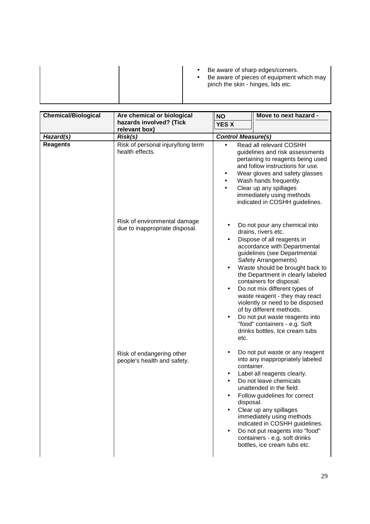• Be aware of sharp edges/corners. • Be aware of pieces of equipment which may pinch the skin - hinges, lids etc.

| <b>Chemical/Biological</b> | Are chemical or biological                                     | <b>NO</b>                                                     | Move to next hazard -                                                                                                                                                                                                                                                                                                                                                                                                                                                                                                  |
|----------------------------|----------------------------------------------------------------|---------------------------------------------------------------|------------------------------------------------------------------------------------------------------------------------------------------------------------------------------------------------------------------------------------------------------------------------------------------------------------------------------------------------------------------------------------------------------------------------------------------------------------------------------------------------------------------------|
|                            | hazards involved? (Tick<br>relevant box)                       | <b>YES X</b>                                                  |                                                                                                                                                                                                                                                                                                                                                                                                                                                                                                                        |
| Hazard(s)                  | Risk(s)                                                        | <b>Control Measure(s)</b>                                     |                                                                                                                                                                                                                                                                                                                                                                                                                                                                                                                        |
| <b>Reagents</b>            | Risk of personal injury/long term<br>health effects.           | $\bullet$                                                     | Read all relevant COSHH<br>guidelines and risk assessments<br>pertaining to reagents being used<br>and follow instructions for use.<br>Wear gloves and safety glasses<br>Wash hands frequently.<br>Clear up any spillages<br>immediately using methods<br>indicated in COSHH guidelines.                                                                                                                                                                                                                               |
|                            | Risk of environmental damage<br>due to inappropriate disposal. | $\bullet$<br>$\bullet$<br>$\bullet$<br>$\bullet$<br>etc.      | Do not pour any chemical into<br>drains, rivers etc.<br>Dispose of all reagents in<br>accordance with Departmental<br>guidelines (see Departmental<br>Safety Arrangements)<br>Waste should be brought back to<br>the Department in clearly labeled<br>containers for disposal.<br>Do not mix different types of<br>waste reagent - they may react<br>violently or need to be disposed<br>of by different methods.<br>Do not put waste reagents into<br>"food" containers - e.g. Soft<br>drinks bottles, Ice cream tubs |
|                            | Risk of endangering other<br>people's health and safety.       | $\bullet$<br>$\bullet$<br>disposal.<br>$\bullet$<br>$\bullet$ | Do not put waste or any reagent<br>into any inappropriately labeled<br>container.<br>Label all reagents clearly.<br>Do not leave chemicals<br>unattended in the field.<br>Follow guidelines for correct<br>Clear up any spillages<br>immediately using methods<br>indicated in COSHH guidelines.<br>Do not put reagents into "food"<br>containers - e.g. soft drinks<br>bottles, ice cream tubs etc.                                                                                                                   |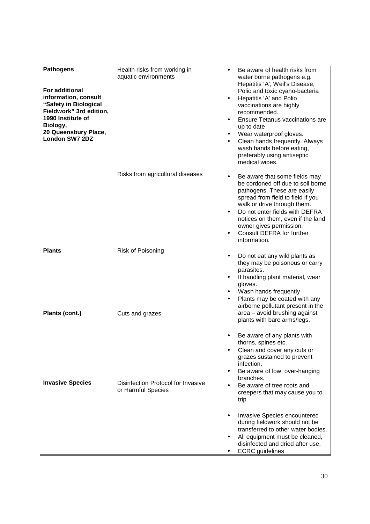| <b>Pathogens</b><br>For additional<br>information, consult<br>"Safety in Biological<br>Fieldwork" 3rd edition,<br>1990 Institute of<br>Biology,<br>20 Queensbury Place,<br><b>London SW7 2DZ</b> | Health risks from working in<br>aquatic environments     | Be aware of health risks from<br>water borne pathogens e.g.<br>Hepatitis 'A', Weil's Disease,<br>Polio and toxic cyano-bacteria<br>Hepatitis 'A' and Polio<br>٠<br>vaccinations are highly<br>recommended.<br>Ensure Tetanus vaccinations are<br>up to date<br>Wear waterproof gloves.<br>Clean hands frequently. Always<br>wash hands before eating,<br>preferably using antiseptic<br>medical wipes. |
|--------------------------------------------------------------------------------------------------------------------------------------------------------------------------------------------------|----------------------------------------------------------|--------------------------------------------------------------------------------------------------------------------------------------------------------------------------------------------------------------------------------------------------------------------------------------------------------------------------------------------------------------------------------------------------------|
|                                                                                                                                                                                                  | Risks from agricultural diseases                         | Be aware that some fields may<br>٠<br>be cordoned off due to soil borne<br>pathogens. These are easily<br>spread from field to field if you<br>walk or drive through them.<br>Do not enter fields with DEFRA<br>$\bullet$<br>notices on them, even if the land<br>owner gives permission.<br>Consult DEFRA for further<br>$\bullet$<br>information.                                                    |
| <b>Plants</b>                                                                                                                                                                                    | Risk of Poisoning                                        | Do not eat any wild plants as<br>٠<br>they may be poisonous or carry<br>parasites.<br>If handling plant material, wear<br>٠<br>gloves.<br>Wash hands frequently<br>Plants may be coated with any<br>airborne pollutant present in the                                                                                                                                                                  |
| Plants (cont.)                                                                                                                                                                                   | Cuts and grazes                                          | area - avoid brushing against<br>plants with bare arms/legs.<br>Be aware of any plants with<br>thorns, spines etc.<br>Clean and cover any cuts or<br>grazes sustained to prevent<br>infection.<br>Be aware of low, over-hanging                                                                                                                                                                        |
| <b>Invasive Species</b>                                                                                                                                                                          | Disinfection Protocol for Invasive<br>or Harmful Species | branches.<br>Be aware of tree roots and<br>creepers that may cause you to<br>trip.<br>Invasive Species encountered<br>during fieldwork should not be<br>transferred to other water bodies.<br>All equipment must be cleaned,<br>disinfected and dried after use.<br><b>ECRC</b> guidelines                                                                                                             |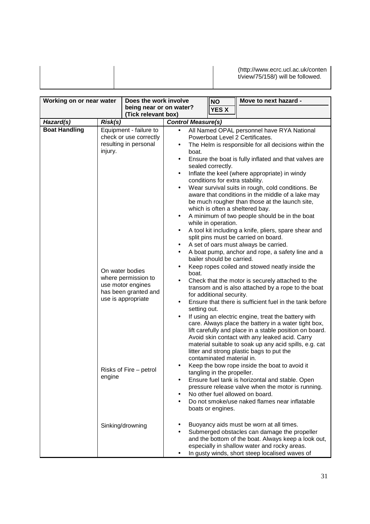(http://www.ecrc.ucl.ac.uk/conten t/view/75/158/) will be followed.

| Working on or near water          |                              | Does the work involve                                                                                                                                                                                            |                                                                                                                                             |                                                             | <b>NO</b>                                                                                                                                                                                                            | Move to next hazard -                                                                                                                                                                                                                                                                                                                                                                                                                                                                                                                                                                                                                                                                                                                                                                                                                                                                                                                                                                                                                                                                                                                                                                                                                                                                                                                                                                                                                                                                                 |
|-----------------------------------|------------------------------|------------------------------------------------------------------------------------------------------------------------------------------------------------------------------------------------------------------|---------------------------------------------------------------------------------------------------------------------------------------------|-------------------------------------------------------------|----------------------------------------------------------------------------------------------------------------------------------------------------------------------------------------------------------------------|-------------------------------------------------------------------------------------------------------------------------------------------------------------------------------------------------------------------------------------------------------------------------------------------------------------------------------------------------------------------------------------------------------------------------------------------------------------------------------------------------------------------------------------------------------------------------------------------------------------------------------------------------------------------------------------------------------------------------------------------------------------------------------------------------------------------------------------------------------------------------------------------------------------------------------------------------------------------------------------------------------------------------------------------------------------------------------------------------------------------------------------------------------------------------------------------------------------------------------------------------------------------------------------------------------------------------------------------------------------------------------------------------------------------------------------------------------------------------------------------------------|
|                                   |                              | being near or on water?<br>(Tick relevant box)                                                                                                                                                                   |                                                                                                                                             |                                                             | <b>YES X</b>                                                                                                                                                                                                         |                                                                                                                                                                                                                                                                                                                                                                                                                                                                                                                                                                                                                                                                                                                                                                                                                                                                                                                                                                                                                                                                                                                                                                                                                                                                                                                                                                                                                                                                                                       |
|                                   |                              |                                                                                                                                                                                                                  |                                                                                                                                             |                                                             |                                                                                                                                                                                                                      |                                                                                                                                                                                                                                                                                                                                                                                                                                                                                                                                                                                                                                                                                                                                                                                                                                                                                                                                                                                                                                                                                                                                                                                                                                                                                                                                                                                                                                                                                                       |
| Hazard(s)<br><b>Boat Handling</b> | Risk(s)<br>injury.<br>engine | Equipment - failure to<br>check or use correctly<br>resulting in personal<br>On water bodies<br>where permission to<br>use motor engines<br>has been granted and<br>use is appropriate<br>Risks of Fire - petrol | $\bullet$<br>$\bullet$<br>$\bullet$<br>$\bullet$<br>$\bullet$<br>$\bullet$<br>$\bullet$<br>$\bullet$<br>$\bullet$<br>$\bullet$<br>$\bullet$ | <b>Control Measure(s)</b><br>boat.<br>boat.<br>setting out. | sealed correctly.<br>conditions for extra stability.<br>while in operation.<br>bailer should be carried.<br>for additional security.<br>contaminated material in.<br>tangling in the propeller.<br>boats or engines. | All Named OPAL personnel have RYA National<br>Powerboat Level 2 Certificates.<br>The Helm is responsible for all decisions within the<br>Ensure the boat is fully inflated and that valves are<br>Inflate the keel (where appropriate) in windy<br>Wear survival suits in rough, cold conditions. Be<br>aware that conditions in the middle of a lake may<br>be much rougher than those at the launch site,<br>which is often a sheltered bay.<br>A minimum of two people should be in the boat<br>A tool kit including a knife, pliers, spare shear and<br>split pins must be carried on board.<br>A set of oars must always be carried.<br>A boat pump, anchor and rope, a safety line and a<br>Keep ropes coiled and stowed neatly inside the<br>Check that the motor is securely attached to the<br>transom and is also attached by a rope to the boat<br>Ensure that there is sufficient fuel in the tank before<br>If using an electric engine, treat the battery with<br>care. Always place the battery in a water tight box,<br>lift carefully and place in a stable position on board.<br>Avoid skin contact with any leaked acid. Carry<br>material suitable to soak up any acid spills, e.g. cat<br>litter and strong plastic bags to put the<br>Keep the bow rope inside the boat to avoid it<br>Ensure fuel tank is horizontal and stable. Open<br>pressure release valve when the motor is running.<br>No other fuel allowed on board.<br>Do not smoke/use naked flames near inflatable |
|                                   |                              | Sinking/drowning                                                                                                                                                                                                 |                                                                                                                                             |                                                             |                                                                                                                                                                                                                      | Buoyancy aids must be worn at all times.<br>Submerged obstacles can damage the propeller<br>and the bottom of the boat. Always keep a look out,<br>especially in shallow water and rocky areas.<br>In gusty winds, short steep localised waves of                                                                                                                                                                                                                                                                                                                                                                                                                                                                                                                                                                                                                                                                                                                                                                                                                                                                                                                                                                                                                                                                                                                                                                                                                                                     |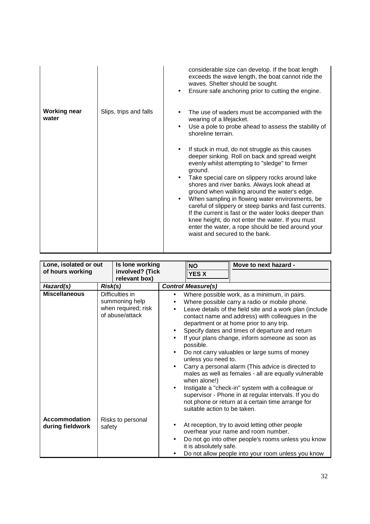|                              |                        | considerable size can develop. If the boat length<br>exceeds the wave length, the boat cannot ride the<br>waves. Shelter should be sought.<br>Ensure safe anchoring prior to cutting the engine.                                                                                                                                                                                                                                                                                                                                                                                                                                                                                                                                                                                                                                      |
|------------------------------|------------------------|---------------------------------------------------------------------------------------------------------------------------------------------------------------------------------------------------------------------------------------------------------------------------------------------------------------------------------------------------------------------------------------------------------------------------------------------------------------------------------------------------------------------------------------------------------------------------------------------------------------------------------------------------------------------------------------------------------------------------------------------------------------------------------------------------------------------------------------|
| <b>Working near</b><br>water | Slips, trips and falls | The use of waders must be accompanied with the<br>wearing of a lifejacket.<br>Use a pole to probe ahead to assess the stability of<br>shoreline terrain.<br>If stuck in mud, do not struggle as this causes<br>$\bullet$<br>deeper sinking. Roll on back and spread weight<br>evenly whilst attempting to "sledge" to firmer<br>ground.<br>Take special care on slippery rocks around lake<br>$\bullet$<br>shores and river banks. Always look ahead at<br>ground when walking around the water's edge.<br>When sampling in flowing water environments, be<br>$\bullet$<br>careful of slippery or steep banks and fast currents.<br>If the current is fast or the water looks deeper than<br>knee height, do not enter the water. If you must<br>enter the water, a rope should be tied around your<br>waist and secured to the bank. |

| Lone, isolated or out                    |         | Is lone working                                                             |                                                               | <b>NO</b>                                                                        | Move to next hazard -                                                                                                                                                                                                                                                                                                                                                                                                                                                                                                                                                                                                                                                                              |
|------------------------------------------|---------|-----------------------------------------------------------------------------|---------------------------------------------------------------|----------------------------------------------------------------------------------|----------------------------------------------------------------------------------------------------------------------------------------------------------------------------------------------------------------------------------------------------------------------------------------------------------------------------------------------------------------------------------------------------------------------------------------------------------------------------------------------------------------------------------------------------------------------------------------------------------------------------------------------------------------------------------------------------|
| of hours working                         |         | involved? (Tick<br>relevant box)                                            |                                                               | <b>YES X</b>                                                                     |                                                                                                                                                                                                                                                                                                                                                                                                                                                                                                                                                                                                                                                                                                    |
| Hazard(s)                                | Risk(s) |                                                                             |                                                               | <b>Control Measure(s)</b>                                                        |                                                                                                                                                                                                                                                                                                                                                                                                                                                                                                                                                                                                                                                                                                    |
| <b>Miscellaneous</b>                     |         | Difficulties in<br>summoning help<br>when required; risk<br>of abuse/attack | $\bullet$<br>$\bullet$<br>$\bullet$<br>$\bullet$<br>$\bullet$ | possible.<br>unless you need to.<br>when alone!)<br>suitable action to be taken. | Where possible work, as a minimum, in pairs.<br>Where possible carry a radio or mobile phone.<br>Leave details of the field site and a work plan (include<br>contact name and address) with colleagues in the<br>department or at home prior to any trip.<br>Specify dates and times of departure and return<br>If your plans change, inform someone as soon as<br>Do not carry valuables or large sums of money<br>Carry a personal alarm (This advice is directed to<br>males as well as females - all are equally vulnerable<br>Instigate a "check-in" system with a colleague or<br>supervisor - Phone in at regular intervals. If you do<br>not phone or return at a certain time arrange for |
| <b>Accommodation</b><br>during fieldwork | safety  | Risks to personal                                                           | $\bullet$<br>$\bullet$                                        | it is absolutely safe.                                                           | At reception, try to avoid letting other people<br>overhear your name and room number.<br>Do not go into other people's rooms unless you know<br>Do not allow people into your room unless you know                                                                                                                                                                                                                                                                                                                                                                                                                                                                                                |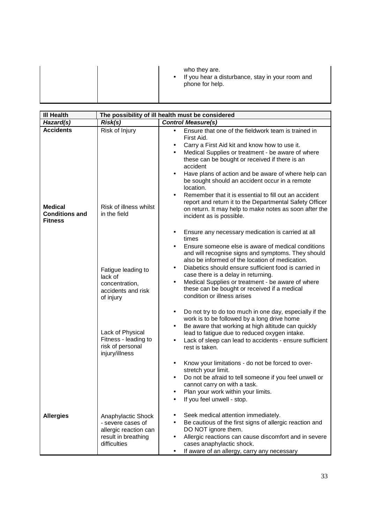|  |  | who they are.<br>• If you hear a disturbance, stay in your room and<br>phone for help. |
|--|--|----------------------------------------------------------------------------------------|
|  |  |                                                                                        |

| <b>III Health</b>                                         |                                                                                                         | The possibility of ill health must be considered                                                                                                                                                                                                                                                                                                                                                                                                                                                                                                                                                      |  |  |  |  |
|-----------------------------------------------------------|---------------------------------------------------------------------------------------------------------|-------------------------------------------------------------------------------------------------------------------------------------------------------------------------------------------------------------------------------------------------------------------------------------------------------------------------------------------------------------------------------------------------------------------------------------------------------------------------------------------------------------------------------------------------------------------------------------------------------|--|--|--|--|
| Hazard(s)                                                 | Risk(s)                                                                                                 | <b>Control Measure(s)</b>                                                                                                                                                                                                                                                                                                                                                                                                                                                                                                                                                                             |  |  |  |  |
| <b>Accidents</b>                                          | Risk of Injury                                                                                          | Ensure that one of the fieldwork team is trained in<br>$\bullet$<br>First Aid.<br>Carry a First Aid kit and know how to use it.<br>$\bullet$<br>Medical Supplies or treatment - be aware of where<br>$\bullet$<br>these can be bought or received if there is an<br>accident<br>Have plans of action and be aware of where help can<br>$\bullet$<br>be sought should an accident occur in a remote<br>location.                                                                                                                                                                                       |  |  |  |  |
| <b>Medical</b><br><b>Conditions and</b><br><b>Fitness</b> | Risk of illness whilst<br>in the field                                                                  | Remember that it is essential to fill out an accident<br>$\bullet$<br>report and return it to the Departmental Safety Officer<br>on return. It may help to make notes as soon after the<br>incident as is possible.                                                                                                                                                                                                                                                                                                                                                                                   |  |  |  |  |
|                                                           | Fatigue leading to<br>lack of<br>concentration.<br>accidents and risk<br>of injury                      | Ensure any necessary medication is carried at all<br>$\bullet$<br>times<br>Ensure someone else is aware of medical conditions<br>$\bullet$<br>and will recognise signs and symptoms. They should<br>also be informed of the location of medication.<br>Diabetics should ensure sufficient food is carried in<br>$\bullet$<br>case there is a delay in returning.<br>Medical Supplies or treatment - be aware of where<br>$\bullet$<br>these can be bought or received if a medical<br>condition or illness arises                                                                                     |  |  |  |  |
|                                                           | Lack of Physical<br>Fitness - leading to<br>risk of personal<br>injury/illness                          | Do not try to do too much in one day, especially if the<br>$\bullet$<br>work is to be followed by a long drive home<br>Be aware that working at high altitude can quickly<br>$\bullet$<br>lead to fatigue due to reduced oxygen intake.<br>Lack of sleep can lead to accidents - ensure sufficient<br>$\bullet$<br>rest is taken.<br>Know your limitations - do not be forced to over-<br>$\bullet$<br>stretch your limit.<br>Do not be afraid to tell someone if you feel unwell or<br>$\bullet$<br>cannot carry on with a task.<br>Plan your work within your limits.<br>If you feel unwell - stop. |  |  |  |  |
| <b>Allergies</b>                                          | Anaphylactic Shock<br>- severe cases of<br>allergic reaction can<br>result in breathing<br>difficulties | Seek medical attention immediately.<br>Be cautious of the first signs of allergic reaction and<br>DO NOT ignore them.<br>Allergic reactions can cause discomfort and in severe<br>$\bullet$<br>cases anaphylactic shock.<br>If aware of an allergy, carry any necessary<br>$\bullet$                                                                                                                                                                                                                                                                                                                  |  |  |  |  |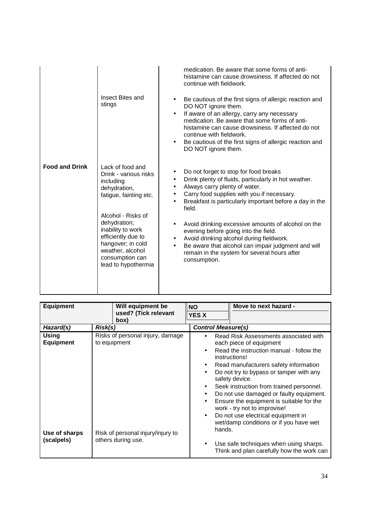|                       | Insect Bites and<br>stings                                                                                                                                                                                                                                           | medication. Be aware that some forms of anti-<br>histamine can cause drowsiness. If affected do not<br>continue with fieldwork.<br>Be cautious of the first signs of allergic reaction and<br>$\bullet$<br>DO NOT ignore them.<br>If aware of an allergy, carry any necessary<br>$\bullet$<br>medication. Be aware that some forms of anti-<br>histamine can cause drowsiness. If affected do not<br>continue with fieldwork.<br>Be cautious of the first signs of allergic reaction and<br>$\bullet$<br>DO NOT ignore them.                                                            |
|-----------------------|----------------------------------------------------------------------------------------------------------------------------------------------------------------------------------------------------------------------------------------------------------------------|-----------------------------------------------------------------------------------------------------------------------------------------------------------------------------------------------------------------------------------------------------------------------------------------------------------------------------------------------------------------------------------------------------------------------------------------------------------------------------------------------------------------------------------------------------------------------------------------|
| <b>Food and Drink</b> | Lack of food and<br>Drink - various risks<br>including<br>dehydration,<br>fatigue, fainting etc.<br>Alcohol - Risks of<br>dehydration;<br>inability to work<br>efficiently due to<br>hangover; in cold<br>weather, alcohol<br>consumption can<br>lead to hypothermia | Do not forget to stop for food breaks<br>٠<br>Drink plenty of fluids, particularly in hot weather.<br>Always carry plenty of water.<br>$\bullet$<br>Carry food supplies with you if necessary.<br>Breakfast is particularly important before a day in the<br>$\bullet$<br>field.<br>Avoid drinking excessive amounts of alcohol on the<br>$\bullet$<br>evening before going into the field.<br>Avoid drinking alcohol during fieldwork.<br>$\bullet$<br>Be aware that alcohol can impair judgment and will<br>$\bullet$<br>remain in the system for several hours after<br>consumption. |

| <b>Equipment</b>                                  |         | Will equipment be                                                                     | <b>NO</b>                                                     |        | Move to next hazard -                                                                                                                                                                                                                                                                                                                                                                                                                                                                  |
|---------------------------------------------------|---------|---------------------------------------------------------------------------------------|---------------------------------------------------------------|--------|----------------------------------------------------------------------------------------------------------------------------------------------------------------------------------------------------------------------------------------------------------------------------------------------------------------------------------------------------------------------------------------------------------------------------------------------------------------------------------------|
|                                                   |         | used? (Tick relevant<br>(box                                                          | <b>YES X</b>                                                  |        |                                                                                                                                                                                                                                                                                                                                                                                                                                                                                        |
| Hazard(s)                                         | Risk(s) |                                                                                       |                                                               |        | <b>Control Measure(s)</b>                                                                                                                                                                                                                                                                                                                                                                                                                                                              |
| <b>Using</b><br><b>Equipment</b><br>Use of sharps |         | Risks of personal injury, damage<br>to equipment<br>Risk of personal injury/injury to | $\bullet$<br>$\bullet$<br>$\bullet$<br>$\bullet$<br>$\bullet$ | hands. | Read Risk Assessments associated with<br>each piece of equipment<br>Read the instruction manual - follow the<br>instructions!<br>Read manufacturers safety information<br>Do not try to bypass or tamper with any<br>safety device.<br>Seek instruction from trained personnel.<br>Do not use damaged or faulty equipment.<br>Ensure the equipment is suitable for the<br>work - try not to improvise!<br>Do not use electrical equipment in<br>wet/damp conditions or if you have wet |
| (scalpels)                                        |         | others during use.                                                                    |                                                               |        | Use safe techniques when using sharps.<br>Think and plan carefully how the work can                                                                                                                                                                                                                                                                                                                                                                                                    |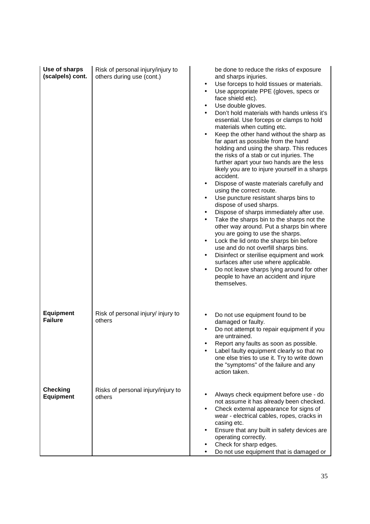| Use of sharps<br>(scalpels) cont.   | Risk of personal injury/injury to<br>others during use (cont.) | be done to reduce the risks of exposure<br>and sharps injuries.<br>Use forceps to hold tissues or materials.<br>$\bullet$<br>Use appropriate PPE (gloves, specs or<br>$\bullet$<br>face shield etc).<br>Use double gloves.<br>$\bullet$<br>Don't hold materials with hands unless it's<br>$\bullet$<br>essential. Use forceps or clamps to hold<br>materials when cutting etc.<br>Keep the other hand without the sharp as<br>far apart as possible from the hand<br>holding and using the sharp. This reduces<br>the risks of a stab or cut injuries. The<br>further apart your two hands are the less<br>likely you are to injure yourself in a sharps<br>accident.<br>Dispose of waste materials carefully and<br>٠<br>using the correct route.<br>Use puncture resistant sharps bins to<br>$\bullet$<br>dispose of used sharps.<br>Dispose of sharps immediately after use.<br>Take the sharps bin to the sharps not the<br>$\bullet$<br>other way around. Put a sharps bin where<br>you are going to use the sharps.<br>Lock the lid onto the sharps bin before<br>$\bullet$<br>use and do not overfill sharps bins.<br>Disinfect or sterilise equipment and work<br>$\bullet$<br>surfaces after use where applicable.<br>Do not leave sharps lying around for other<br>$\bullet$<br>people to have an accident and injure<br>themselves. |
|-------------------------------------|----------------------------------------------------------------|------------------------------------------------------------------------------------------------------------------------------------------------------------------------------------------------------------------------------------------------------------------------------------------------------------------------------------------------------------------------------------------------------------------------------------------------------------------------------------------------------------------------------------------------------------------------------------------------------------------------------------------------------------------------------------------------------------------------------------------------------------------------------------------------------------------------------------------------------------------------------------------------------------------------------------------------------------------------------------------------------------------------------------------------------------------------------------------------------------------------------------------------------------------------------------------------------------------------------------------------------------------------------------------------------------------------------------------------|
| <b>Equipment</b><br><b>Failure</b>  | Risk of personal injury/ injury to<br>others                   | Do not use equipment found to be<br>$\bullet$<br>damaged or faulty.<br>Do not attempt to repair equipment if you<br>are untrained.<br>Report any faults as soon as possible.<br>Label faulty equipment clearly so that no<br>one else tries to use it. Try to write down<br>the "symptoms" of the failure and any<br>action taken.                                                                                                                                                                                                                                                                                                                                                                                                                                                                                                                                                                                                                                                                                                                                                                                                                                                                                                                                                                                                             |
| <b>Checking</b><br><b>Equipment</b> | Risks of personal injury/injury to<br>others                   | Always check equipment before use - do<br>not assume it has already been checked.<br>Check external appearance for signs of<br>$\bullet$<br>wear - electrical cables, ropes, cracks in<br>casing etc.<br>Ensure that any built in safety devices are<br>operating correctly.<br>Check for sharp edges.<br>Do not use equipment that is damaged or                                                                                                                                                                                                                                                                                                                                                                                                                                                                                                                                                                                                                                                                                                                                                                                                                                                                                                                                                                                              |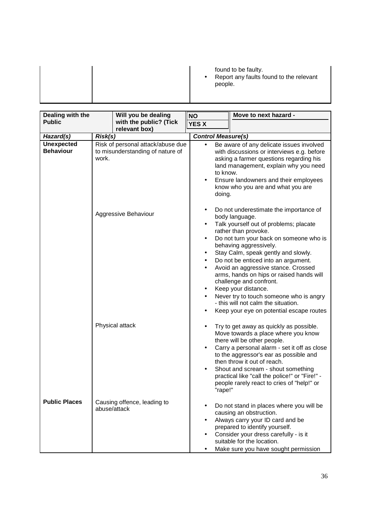|  | $\bullet$ | found to be faulty.<br>Report any faults found to the relevant<br>people. |
|--|-----------|---------------------------------------------------------------------------|
|  |           |                                                                           |

| Dealing with the                                                                                                        |              | Will you be dealing                     | <b>NO</b>                                                                       |                                                                                                                                                                                                                                                          | Move to next hazard -                                                                                                                                                                                                                                                                                                                                                                                                                                                                                                                            |
|-------------------------------------------------------------------------------------------------------------------------|--------------|-----------------------------------------|---------------------------------------------------------------------------------|----------------------------------------------------------------------------------------------------------------------------------------------------------------------------------------------------------------------------------------------------------|--------------------------------------------------------------------------------------------------------------------------------------------------------------------------------------------------------------------------------------------------------------------------------------------------------------------------------------------------------------------------------------------------------------------------------------------------------------------------------------------------------------------------------------------------|
| <b>Public</b>                                                                                                           |              | with the public? (Tick<br>relevant box) | <b>YES X</b>                                                                    |                                                                                                                                                                                                                                                          |                                                                                                                                                                                                                                                                                                                                                                                                                                                                                                                                                  |
| Hazard(s)                                                                                                               | Risk(s)      |                                         |                                                                                 |                                                                                                                                                                                                                                                          | <b>Control Measure(s)</b>                                                                                                                                                                                                                                                                                                                                                                                                                                                                                                                        |
| <b>Unexpected</b><br>Risk of personal attack/abuse due<br><b>Behaviour</b><br>to misunderstanding of nature of<br>work. |              | $\bullet$<br>$\bullet$                  | to know.<br>doing.                                                              | Be aware of any delicate issues involved<br>with discussions or interviews e.g. before<br>asking a farmer questions regarding his<br>land management, explain why you need<br>Ensure landowners and their employees<br>know who you are and what you are |                                                                                                                                                                                                                                                                                                                                                                                                                                                                                                                                                  |
|                                                                                                                         |              | Aggressive Behaviour                    | $\bullet$<br>$\bullet$<br>$\bullet$<br>٠<br>$\bullet$<br>$\bullet$<br>$\bullet$ |                                                                                                                                                                                                                                                          | Do not underestimate the importance of<br>body language.<br>Talk yourself out of problems; placate<br>rather than provoke.<br>Do not turn your back on someone who is<br>behaving aggressively.<br>Stay Calm, speak gently and slowly.<br>Do not be enticed into an argument.<br>Avoid an aggressive stance. Crossed<br>arms, hands on hips or raised hands will<br>challenge and confront.<br>Keep your distance.<br>Never try to touch someone who is angry<br>- this will not calm the situation.<br>Keep your eye on potential escape routes |
|                                                                                                                         |              | Physical attack                         | $\bullet$<br>$\bullet$<br>$\bullet$                                             | "rape!"                                                                                                                                                                                                                                                  | Try to get away as quickly as possible.<br>Move towards a place where you know<br>there will be other people.<br>Carry a personal alarm - set it off as close<br>to the aggressor's ear as possible and<br>then throw it out of reach.<br>Shout and scream - shout something<br>practical like "call the police!" or "Fire!" -<br>people rarely react to cries of "help!" or                                                                                                                                                                     |
| <b>Public Places</b>                                                                                                    | abuse/attack | Causing offence, leading to             | $\bullet$<br>$\bullet$<br>$\bullet$                                             |                                                                                                                                                                                                                                                          | Do not stand in places where you will be<br>causing an obstruction.<br>Always carry your ID card and be<br>prepared to identify yourself.<br>Consider your dress carefully - is it<br>suitable for the location.<br>Make sure you have sought permission                                                                                                                                                                                                                                                                                         |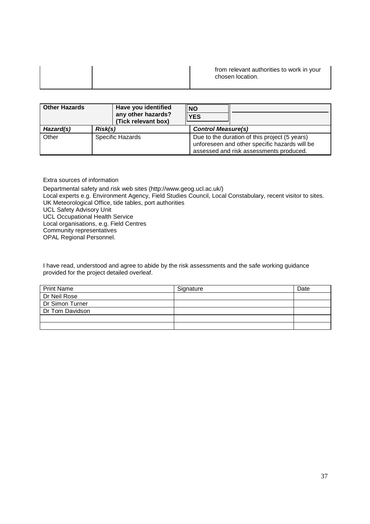|  | from relevant authorities to work in your<br>chosen location. |
|--|---------------------------------------------------------------|
|  |                                                               |

| <b>Other Hazards</b> | Have you identified<br>any other hazards?<br>(Tick relevant box) | <b>INO</b><br><b>YES</b>                                                                                                                  |  |
|----------------------|------------------------------------------------------------------|-------------------------------------------------------------------------------------------------------------------------------------------|--|
| Hazard(s)            | Risk(s)                                                          | <b>Control Measure(s)</b>                                                                                                                 |  |
| Other                | Specific Hazards                                                 | Due to the duration of this project (5 years)<br>unforeseen and other specific hazards will be<br>assessed and risk assessments produced. |  |

Extra sources of information

Departmental safety and risk web sites (http://www.geog.ucl.ac.uk/) Local experts e.g. Environment Agency, Field Studies Council, Local Constabulary, recent visitor to sites. UK Meteorological Office, tide tables, port authorities UCL Safety Advisory Unit UCL Occupational Health Service Local organisations, e.g. Field Centres Community representatives OPAL Regional Personnel.

I have read, understood and agree to abide by the risk assessments and the safe working guidance provided for the project detailed overleaf.

| <b>Print Name</b> | Signature | Date |
|-------------------|-----------|------|
| Dr Neil Rose      |           |      |
| Dr Simon Turner   |           |      |
| Dr Tom Davidson   |           |      |
|                   |           |      |
|                   |           |      |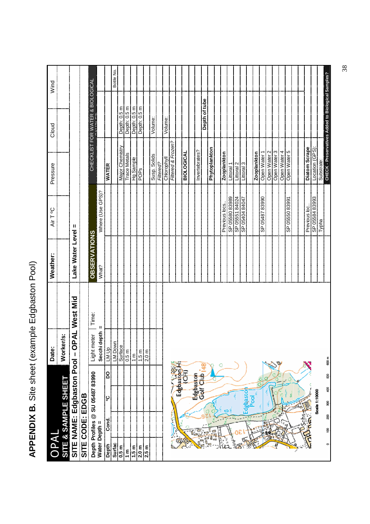APPENDIX B. Site sheet (example Edgbaston Pool) **APPENDIX B.** Site sheet (example Edgbaston Pool)

| <b>INAI</b>                             | Date:              |              | Weather:            | Air T °C                         | Pressure            | Cloud                                                     | Wind       |
|-----------------------------------------|--------------------|--------------|---------------------|----------------------------------|---------------------|-----------------------------------------------------------|------------|
| TE & SAMPLE SHEE<br>$\overline{\bm{v}}$ | Worker/s:          |              |                     |                                  |                     |                                                           |            |
| SITE NAME: Edgbaston Pool - O           |                    | PAL West Mid | Lake Water Level =  |                                  |                     |                                                           |            |
| SITE CODE: EDGB                         |                    |              |                     |                                  |                     |                                                           |            |
| Depth Profiles @ SU 05487 83990         | Light meter        | Time:        | <b>OBSERVATIONS</b> |                                  |                     | CHECKLIST FOR WATER & BIOLOGICAL                          |            |
| Water Depth =                           | Secchi depth       | Ш            | What?               | Where (Use GPS)?                 |                     |                                                           |            |
| <b>S</b><br>့ပ<br>Cond.<br>Depth        | LM Up<br>-         |              |                     |                                  | <b>WATER</b>        |                                                           |            |
| Surfac                                  |                    |              |                     |                                  |                     |                                                           | Bottle No. |
| 0.5 <sub>m</sub>                        | LM Down<br>Surface |              |                     |                                  | Major Chemistry     | Depth: 0.5 m                                              |            |
| ξ                                       | $0.5 \text{ m}$    |              |                     |                                  | <b>Trace Metals</b> | Depth: 0.5 m                                              |            |
| 1.5 m                                   | $\frac{E}{1}$      |              |                     |                                  | Hg Sample           | Depth: 0.5 m                                              |            |
| 2.0 m                                   | 1.5 m              |              |                     |                                  | POPS                | Depth: 0.5 m                                              |            |
| 2.5 <sub>m</sub>                        | $2.0 \text{ m}$    |              |                     |                                  |                     |                                                           |            |
|                                         |                    |              |                     |                                  | Susp. Solids        | Volume:                                                   |            |
|                                         |                    |              |                     |                                  | Fitered?            |                                                           |            |
|                                         |                    |              |                     |                                  | Chlorophyll         | Volume:                                                   |            |
| Š                                       |                    |              |                     |                                  | Filtered & Frozen?  |                                                           |            |
| Consequent                              | ı                  |              |                     |                                  |                     |                                                           |            |
| 王<br>〇                                  |                    |              |                     |                                  | <b>BIOLOGICAL</b>   |                                                           |            |
|                                         |                    |              |                     |                                  |                     |                                                           |            |
| Gelf Club<br>Edgbastor<br>E             |                    |              |                     |                                  | Invertebrates?      |                                                           |            |
| g<br>ī                                  |                    |              |                     |                                  |                     | Depth of tube                                             |            |
| ė,                                      |                    |              |                     |                                  | Phytoplankton       |                                                           |            |
|                                         | G                  |              |                     |                                  |                     |                                                           |            |
|                                         |                    |              |                     | Previous locs.                   | <b>Zooplankton</b>  |                                                           |            |
|                                         |                    |              |                     | SP 05580 83989<br>SP 05551 84024 | Littoral 1          |                                                           |            |
|                                         |                    |              |                     |                                  | Littoral 2          |                                                           |            |
| Edgbasto                                |                    |              |                     | SP 05404 84047                   | Littoral 3          |                                                           |            |
| Pool                                    |                    |              |                     |                                  | <b>Zooplankton</b>  |                                                           |            |
|                                         |                    |              |                     | SP 05487 83990                   | Open Water 1        |                                                           |            |
| Е                                       |                    |              |                     |                                  | Open Water 2        |                                                           |            |
|                                         |                    |              |                     |                                  | Open Water 3        |                                                           |            |
| ç                                       |                    |              |                     |                                  | Open Water 4        |                                                           |            |
|                                         |                    |              |                     | SP 05550 83991                   | Open Water 5        |                                                           |            |
|                                         |                    |              |                     |                                  |                     |                                                           |            |
| È<br>$\overline{\mathbf{r}}$            |                    |              |                     | Previous loc.                    | Diatom Scrape       |                                                           |            |
| Scale 1:10000                           |                    |              |                     | SP 05584 83993                   | Location (GPS):     |                                                           |            |
|                                         |                    |              |                     | Typha                            | Substrate:          |                                                           |            |
| 8<br>ទី<br>8<br>8<br>ğ<br>o             | 600 m              |              |                     |                                  |                     | <b>CHECK - Preservatives Added to Biological Samples?</b> |            |
|                                         |                    |              |                     |                                  |                     |                                                           |            |

38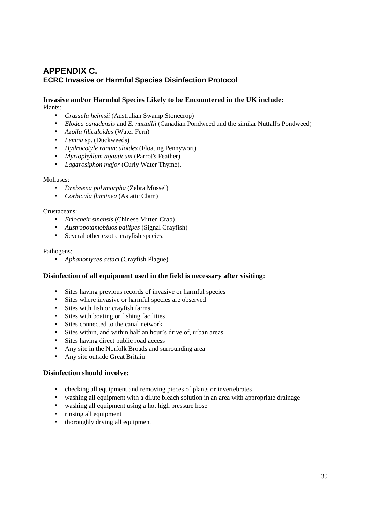# **APPENDIX C. ECRC Invasive or Harmful Species Disinfection Protocol**

#### **Invasive and/or Harmful Species Likely to be Encountered in the UK include:**  Plants:

- *Crassula helmsii* (Australian Swamp Stonecrop)
- *Elodea canadensis* and *E. nuttallii* (Canadian Pondweed and the similar Nuttall's Pondweed)
- *Azolla filiculoides* (Water Fern)
- *Lemna* sp. (Duckweeds)
- *Hydrocotyle ranunculoides* (Floating Pennywort)
- *Myriophyllum aqauticum* (Parrot's Feather)
- *Lagarosiphon major* (Curly Water Thyme).

#### Molluscs:

- *Dreissena polymorpha* (Zebra Mussel)
- *Corbicula fluminea* (Asiatic Clam)

#### Crustaceans:

- *Eriocheir sinensis* (Chinese Mitten Crab)
- *Austropotamobiuos pallipes* (Signal Crayfish)
- Several other exotic crayfish species.

#### Pathogens:

• *Aphanomyces astaci* (Crayfish Plague)

#### **Disinfection of all equipment used in the field is necessary after visiting:**

- Sites having previous records of invasive or harmful species
- Sites where invasive or harmful species are observed
- Sites with fish or crayfish farms
- Sites with boating or fishing facilities
- Sites connected to the canal network
- Sites within, and within half an hour's drive of, urban areas
- Sites having direct public road access
- Any site in the Norfolk Broads and surrounding area
- Any site outside Great Britain

#### **Disinfection should involve:**

- checking all equipment and removing pieces of plants or invertebrates
- washing all equipment with a dilute bleach solution in an area with appropriate drainage
- washing all equipment using a hot high pressure hose
- rinsing all equipment
- thoroughly drying all equipment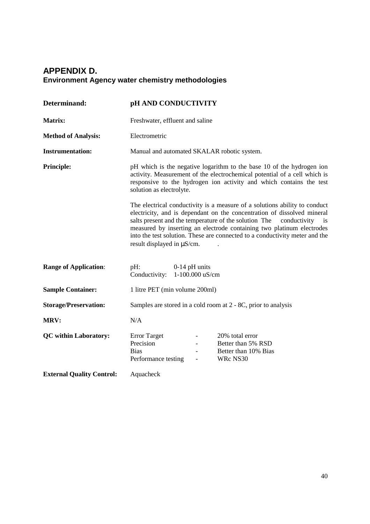# **APPENDIX D. Environment Agency water chemistry methodologies**

| Determinand:                     | pH AND CONDUCTIVITY                                                                                                                                                                                                                                                                                                                                                                                                             |  |
|----------------------------------|---------------------------------------------------------------------------------------------------------------------------------------------------------------------------------------------------------------------------------------------------------------------------------------------------------------------------------------------------------------------------------------------------------------------------------|--|
| <b>Matrix:</b>                   | Freshwater, effluent and saline                                                                                                                                                                                                                                                                                                                                                                                                 |  |
| <b>Method of Analysis:</b>       | Electrometric                                                                                                                                                                                                                                                                                                                                                                                                                   |  |
| <b>Instrumentation:</b>          | Manual and automated SKALAR robotic system.                                                                                                                                                                                                                                                                                                                                                                                     |  |
| <b>Principle:</b>                | pH which is the negative logarithm to the base 10 of the hydrogen ion<br>activity. Measurement of the electrochemical potential of a cell which is<br>responsive to the hydrogen ion activity and which contains the test<br>solution as electrolyte.                                                                                                                                                                           |  |
|                                  | The electrical conductivity is a measure of a solutions ability to conduct<br>electricity, and is dependant on the concentration of dissolved mineral<br>salts present and the temperature of the solution The<br>conductivity<br>1S<br>measured by inserting an electrode containing two platinum electrodes<br>into the test solution. These are connected to a conductivity meter and the<br>result displayed in $\mu$ S/cm. |  |
| <b>Range of Application:</b>     | $pH$ :<br>$0-14$ pH units<br>1-100.000 uS/cm<br>Conductivity:                                                                                                                                                                                                                                                                                                                                                                   |  |
| <b>Sample Container:</b>         | 1 litre PET (min volume 200ml)                                                                                                                                                                                                                                                                                                                                                                                                  |  |
| <b>Storage/Preservation:</b>     | Samples are stored in a cold room at 2 - 8C, prior to analysis                                                                                                                                                                                                                                                                                                                                                                  |  |
| MRV:                             | N/A                                                                                                                                                                                                                                                                                                                                                                                                                             |  |
| <b>QC</b> within Laboratory:     | <b>Error Target</b><br>20% total error<br>Precision<br>Better than 5% RSD<br><b>Bias</b><br>Better than 10% Bias<br>Performance testing<br>WRc NS30<br>$\overline{\phantom{a}}$                                                                                                                                                                                                                                                 |  |
| <b>External Quality Control:</b> | Aquacheck                                                                                                                                                                                                                                                                                                                                                                                                                       |  |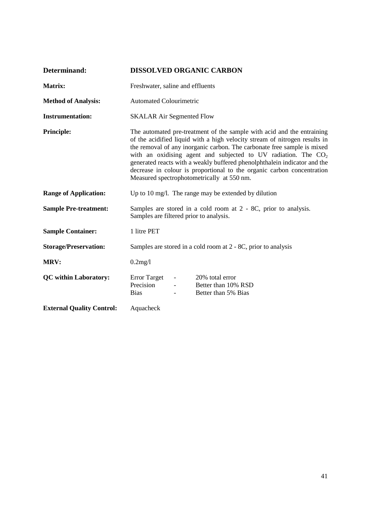| Determinand:                     | <b>DISSOLVED ORGANIC CARBON</b>                                                                                                                                                                                                                                                                                                                                                                                                                                                                          |  |
|----------------------------------|----------------------------------------------------------------------------------------------------------------------------------------------------------------------------------------------------------------------------------------------------------------------------------------------------------------------------------------------------------------------------------------------------------------------------------------------------------------------------------------------------------|--|
| <b>Matrix:</b>                   | Freshwater, saline and effluents                                                                                                                                                                                                                                                                                                                                                                                                                                                                         |  |
| <b>Method of Analysis:</b>       | <b>Automated Colourimetric</b>                                                                                                                                                                                                                                                                                                                                                                                                                                                                           |  |
| <b>Instrumentation:</b>          | <b>SKALAR Air Segmented Flow</b>                                                                                                                                                                                                                                                                                                                                                                                                                                                                         |  |
| <b>Principle:</b>                | The automated pre-treatment of the sample with acid and the entraining<br>of the acidified liquid with a high velocity stream of nitrogen results in<br>the removal of any inorganic carbon. The carbonate free sample is mixed<br>with an oxidising agent and subjected to UV radiation. The $CO2$<br>generated reacts with a weakly buffered phenolphthalein indicator and the<br>decrease in colour is proportional to the organic carbon concentration<br>Measured spectrophotometrically at 550 nm. |  |
| <b>Range of Application:</b>     | Up to 10 mg/l. The range may be extended by dilution                                                                                                                                                                                                                                                                                                                                                                                                                                                     |  |
| <b>Sample Pre-treatment:</b>     | Samples are stored in a cold room at 2 - 8C, prior to analysis.<br>Samples are filtered prior to analysis.                                                                                                                                                                                                                                                                                                                                                                                               |  |
| <b>Sample Container:</b>         | 1 litre PET                                                                                                                                                                                                                                                                                                                                                                                                                                                                                              |  |
| <b>Storage/Preservation:</b>     | Samples are stored in a cold room at 2 - 8C, prior to analysis                                                                                                                                                                                                                                                                                                                                                                                                                                           |  |
| MRV:                             | 0.2mg/l                                                                                                                                                                                                                                                                                                                                                                                                                                                                                                  |  |
| <b>QC</b> within Laboratory:     | <b>Error Target</b><br>20% total error<br>$\overline{\phantom{a}}$<br>Precision<br>Better than 10% RSD<br><b>Bias</b><br>Better than 5% Bias                                                                                                                                                                                                                                                                                                                                                             |  |
| <b>External Quality Control:</b> | Aquacheck                                                                                                                                                                                                                                                                                                                                                                                                                                                                                                |  |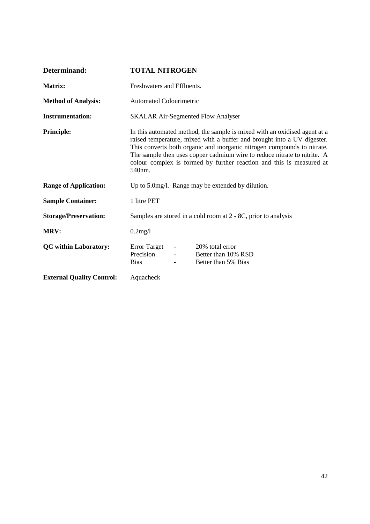| Determinand:                     | <b>TOTAL NITROGEN</b>                                                                                                                                                                                                                                                                                                                                                                         |  |
|----------------------------------|-----------------------------------------------------------------------------------------------------------------------------------------------------------------------------------------------------------------------------------------------------------------------------------------------------------------------------------------------------------------------------------------------|--|
| Matrix:                          | Freshwaters and Effluents.                                                                                                                                                                                                                                                                                                                                                                    |  |
| <b>Method of Analysis:</b>       | <b>Automated Colourimetric</b>                                                                                                                                                                                                                                                                                                                                                                |  |
| <b>Instrumentation:</b>          | <b>SKALAR Air-Segmented Flow Analyser</b>                                                                                                                                                                                                                                                                                                                                                     |  |
| <b>Principle:</b>                | In this automated method, the sample is mixed with an oxidised agent at a<br>raised temperature, mixed with a buffer and brought into a UV digester.<br>This converts both organic and inorganic nitrogen compounds to nitrate.<br>The sample then uses copper cadmium wire to reduce nitrate to nitrite. A<br>colour complex is formed by further reaction and this is measured at<br>540nm. |  |
| <b>Range of Application:</b>     | Up to 5.0 mg/l. Range may be extended by dilution.                                                                                                                                                                                                                                                                                                                                            |  |
| <b>Sample Container:</b>         | 1 litre PET                                                                                                                                                                                                                                                                                                                                                                                   |  |
| <b>Storage/Preservation:</b>     | Samples are stored in a cold room at 2 - 8C, prior to analysis                                                                                                                                                                                                                                                                                                                                |  |
| <b>MRV:</b>                      | 0.2mg/l                                                                                                                                                                                                                                                                                                                                                                                       |  |
| <b>QC</b> within Laboratory:     | <b>Error Target</b><br>20% total error<br>$\overline{\phantom{a}}$<br>Precision<br>Better than 10% RSD<br>$\overline{\phantom{a}}$<br><b>Bias</b><br>Better than 5% Bias                                                                                                                                                                                                                      |  |
| <b>External Quality Control:</b> | Aquacheck                                                                                                                                                                                                                                                                                                                                                                                     |  |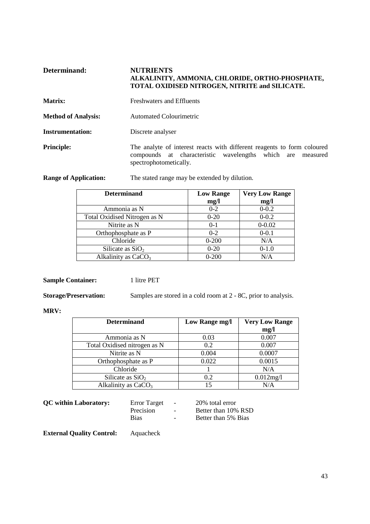| Determinand: | <b>NUTRIENTS</b>                                      |
|--------------|-------------------------------------------------------|
|              | ALKALINITY, AMMONIA, CHLORIDE, ORTHO-PHOSPHATE,       |
|              | <b>TOTAL OXIDISED NITROGEN, NITRITE and SILICATE.</b> |
|              |                                                       |

| <b>Matrix:</b> | <b>Freshwaters and Effluents</b> |
|----------------|----------------------------------|
|                |                                  |

- **Method of Analysis:** Automated Colourimetric
- **Instrumentation:** Discrete analyser

**Principle:** The analyte of interest reacts with different reagents to form coloured compounds at characteristic wavelengths which are measured spectrophotometically.

**Range of Application:** The stated range may be extended by dilution.

| <b>Determinand</b>              | <b>Low Range</b><br>mg/l | <b>Very Low Range</b><br>mg/l |
|---------------------------------|--------------------------|-------------------------------|
| Ammonia as N                    | $0 - 2$                  | $0 - 0.2$                     |
| Total Oxidised Nitrogen as N    | $0-20$                   | $0 - 0.2$                     |
| Nitrite as N                    | $0-1$                    | $0 - 0.02$                    |
| Orthophosphate as P             | $0 - 2$                  | $0 - 0.1$                     |
| Chloride                        | $0 - 200$                | N/A                           |
| Silicate as $SiO2$              | $0-20$                   | $0-1.0$                       |
| Alkalinity as CaCO <sub>3</sub> | $0 - 200$                | N/A                           |

**Sample Container:** 1 litre PET

**Storage/Preservation:** Samples are stored in a cold room at 2 - 8C, prior to analysis.

#### **MRV:**

| <b>Determinand</b>           | Low Range mg/l | <b>Very Low Range</b> |
|------------------------------|----------------|-----------------------|
|                              |                | mg/l                  |
| Ammonia as N                 | 0.03           | 0.007                 |
| Total Oxidised nitrogen as N | 0.2            | 0.007                 |
| Nitrite as N                 | 0.004          | 0.0007                |
| Orthophosphate as P          | 0.022          | 0.0015                |
| Chloride                     |                | N/A                   |
| Silicate as $SiO2$           | 0.2            | 0.012mg/l             |
| Alkalinity as $CaCO3$        |                | N/A                   |

**QC within Laboratory:** Error Target - 20% total error<br>Precision - Better than 10%

- Better than 10% RSD Bias - Better than 5% Bias

**External Quality Control:** Aquacheck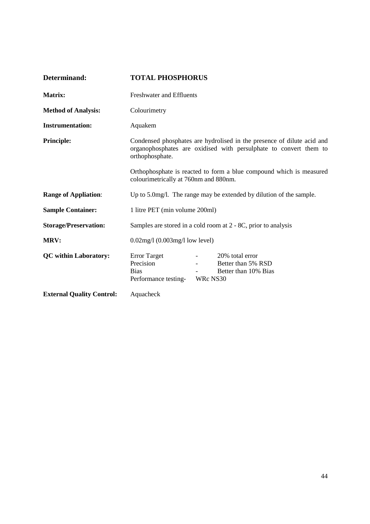| Determinand:                     | <b>TOTAL PHOSPHORUS</b>                                                 |                                                                                                                                             |
|----------------------------------|-------------------------------------------------------------------------|---------------------------------------------------------------------------------------------------------------------------------------------|
| Matrix:                          | <b>Freshwater and Effluents</b>                                         |                                                                                                                                             |
| <b>Method of Analysis:</b>       | Colourimetry                                                            |                                                                                                                                             |
| <b>Instrumentation:</b>          | Aquakem                                                                 |                                                                                                                                             |
| <b>Principle:</b>                | orthophosphate.                                                         | Condensed phosphates are hydrolised in the presence of dilute acid and<br>organophosphates are oxidised with persulphate to convert them to |
|                                  | colourimetrically at 760nm and 880nm.                                   | Orthophosphate is reacted to form a blue compound which is measured                                                                         |
| <b>Range of Appliation:</b>      |                                                                         | Up to 5.0mg/l. The range may be extended by dilution of the sample.                                                                         |
| <b>Sample Container:</b>         | 1 litre PET (min volume 200ml)                                          |                                                                                                                                             |
| <b>Storage/Preservation:</b>     | Samples are stored in a cold room at 2 - 8C, prior to analysis          |                                                                                                                                             |
| MRV:                             | $0.02$ mg/l $(0.003$ mg/l $low$ level)                                  |                                                                                                                                             |
| <b>QC</b> within Laboratory:     | <b>Error Target</b><br>Precision<br><b>Bias</b><br>Performance testing- | 20% total error<br>Better than 5% RSD<br>Better than 10% Bias<br>WRc NS30                                                                   |
| <b>External Quality Control:</b> | Aquacheck                                                               |                                                                                                                                             |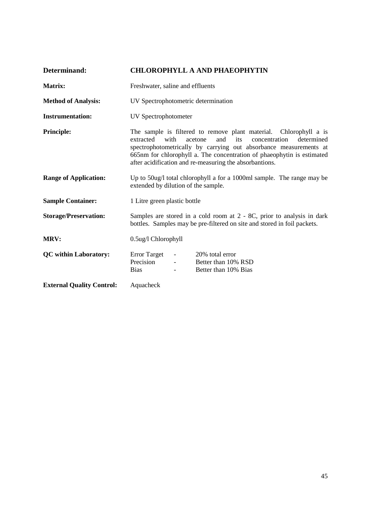| Determinand:                     | <b>CHLOROPHYLL A AND PHAEOPHYTIN</b>                                                                                                                                                                                                                                                                                                                     |  |
|----------------------------------|----------------------------------------------------------------------------------------------------------------------------------------------------------------------------------------------------------------------------------------------------------------------------------------------------------------------------------------------------------|--|
| Matrix:                          | Freshwater, saline and effluents                                                                                                                                                                                                                                                                                                                         |  |
| <b>Method of Analysis:</b>       | UV Spectrophotometric determination                                                                                                                                                                                                                                                                                                                      |  |
| <b>Instrumentation:</b>          | UV Spectrophotometer                                                                                                                                                                                                                                                                                                                                     |  |
| <b>Principle:</b>                | The sample is filtered to remove plant material. Chlorophyll a is<br>with<br>and<br>its<br>determined<br>extracted<br>acetone<br>concentration<br>spectrophotometrically by carrying out absorbance measurements at<br>665nm for chlorophyll a. The concentration of phaeophytin is estimated<br>after acidification and re-measuring the absorbantions. |  |
| <b>Range of Application:</b>     | Up to 50ug/l total chlorophyll a for a 1000ml sample. The range may be<br>extended by dilution of the sample.                                                                                                                                                                                                                                            |  |
| <b>Sample Container:</b>         | 1 Litre green plastic bottle                                                                                                                                                                                                                                                                                                                             |  |
| <b>Storage/Preservation:</b>     | Samples are stored in a cold room at $2 - 8C$ , prior to analysis in dark<br>bottles. Samples may be pre-filtered on site and stored in foil packets.                                                                                                                                                                                                    |  |
| <b>MRV:</b>                      | 0.5ug/l Chlorophyll                                                                                                                                                                                                                                                                                                                                      |  |
| <b>QC</b> within Laboratory:     | Error Target<br>20% total error<br><b>Contract Contract</b><br>Precision<br>Better than 10% RSD<br>$\frac{1}{2}$ and $\frac{1}{2}$ and $\frac{1}{2}$<br><b>Bias</b><br>Better than 10% Bias<br>$\sim$                                                                                                                                                    |  |
| <b>External Quality Control:</b> | Aquacheck                                                                                                                                                                                                                                                                                                                                                |  |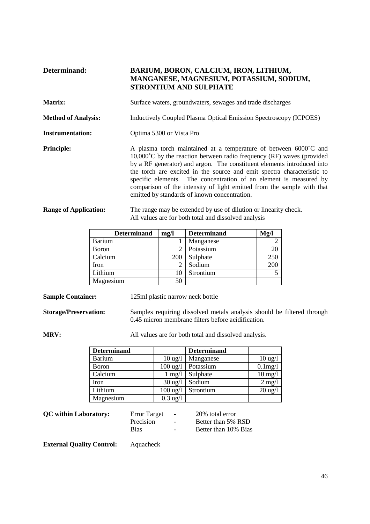# **Determinand: BARIUM, BORON, CALCIUM, IRON, LITHIUM, MANGANESE, MAGNESIUM, POTASSIUM, SODIUM, STRONTIUM AND SULPHATE**

| <b>Matrix:</b>             | Surface waters, groundwaters, sewages and trade discharges                                                                                                                                                                                                                                                                                                                                                                                                                                                          |
|----------------------------|---------------------------------------------------------------------------------------------------------------------------------------------------------------------------------------------------------------------------------------------------------------------------------------------------------------------------------------------------------------------------------------------------------------------------------------------------------------------------------------------------------------------|
| <b>Method of Analysis:</b> | <b>Inductively Coupled Plasma Optical Emission Spectroscopy (ICPOES)</b>                                                                                                                                                                                                                                                                                                                                                                                                                                            |
| <b>Instrumentation:</b>    | Optima 5300 or Vista Pro                                                                                                                                                                                                                                                                                                                                                                                                                                                                                            |
| <b>Principle:</b>          | A plasma torch maintained at a temperature of between 6000 <sup>°</sup> C and<br>$10,000^{\circ}$ C by the reaction between radio frequency (RF) waves (provided<br>by a RF generator) and argon. The constituent elements introduced into<br>the torch are excited in the source and emit spectra characteristic to<br>specific elements. The concentration of an element is measured by<br>comparison of the intensity of light emitted from the sample with that<br>emitted by standards of known concentration. |

#### **Range of Application:** The range may be extended by use of dilution or linearity check. All values are for both total and dissolved analysis

| <b>Determinand</b> | mg/l | <b>Determinand</b> | Mg/ |
|--------------------|------|--------------------|-----|
| <b>Barium</b>      |      | Manganese          |     |
| <b>B</b> oron      |      | Potassium          | 20  |
| Calcium            | 200  | Sulphate           | 250 |
| Iron               |      | Sodium             | 200 |
| Lithium            | 10   | Strontium          |     |
| Magnesium          | 50   |                    |     |

**Sample Container:** 125ml plastic narrow neck bottle

**Storage/Preservation:** Samples requiring dissolved metals analysis should be filtered through 0.45 micron membrane filters before acidification.

**MRV:** All values are for both total and dissolved analysis.

| <b>Determinand</b> |                    | <b>Determinand</b> |                   |
|--------------------|--------------------|--------------------|-------------------|
| Barium             | $10 \text{ ug}/l$  | Manganese          | $10 \text{ ug}/1$ |
| <b>B</b> oron      | $100 \text{ ug}/l$ | Potassium          | $0.1$ mg/l        |
| Calcium            | $1 \text{ mg}/1$   | Sulphate           | $10 \text{ mg}/l$ |
| Iron               | $30 \text{ ug}/l$  | Sodium             | $2$ mg/l          |
| Lithium            | $100 \text{ ug}/l$ | Strontium          | $20$ ug/l         |
| Magnesium          | $0.3$ ug/l         |                    |                   |

Error Target - 20% total error<br>Precision - Better than 5% Better than 5% RSD Bias - Better than 10% Bias

**External Quality Control:** Aquacheck

46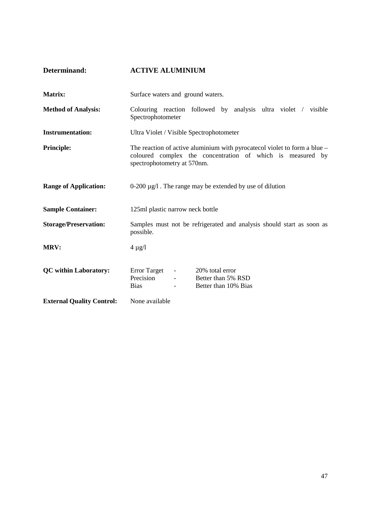| Matrix:                          | Surface waters and ground waters.                                                                                                                                        |
|----------------------------------|--------------------------------------------------------------------------------------------------------------------------------------------------------------------------|
| <b>Method of Analysis:</b>       | Colouring reaction followed by analysis ultra violet / visible<br>Spectrophotometer                                                                                      |
| <b>Instrumentation:</b>          | Ultra Violet / Visible Spectrophotometer                                                                                                                                 |
| <b>Principle:</b>                | The reaction of active aluminium with pyrocatecol violet to form a blue $-$<br>coloured complex the concentration of which is measured by<br>spectrophotometry at 570nm. |
| <b>Range of Application:</b>     | $0-200 \mu g/l$ . The range may be extended by use of dilution                                                                                                           |
| <b>Sample Container:</b>         | 125ml plastic narrow neck bottle                                                                                                                                         |
| <b>Storage/Preservation:</b>     | Samples must not be refrigerated and analysis should start as soon as<br>possible.                                                                                       |
| MRV:                             | $4 \mu g/l$                                                                                                                                                              |
| <b>QC</b> within Laboratory:     | Error Target -<br>20% total error<br>Precision<br>Better than 5% RSD<br>$\overline{\phantom{a}}$<br><b>Bias</b><br>Better than 10% Bias                                  |
| <b>External Quality Control:</b> | None available                                                                                                                                                           |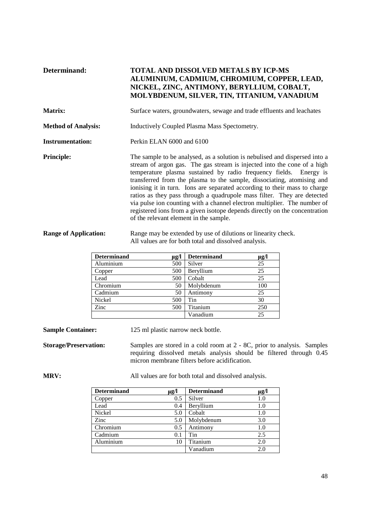# **Determinand: TOTAL AND DISSOLVED METALS BY ICP-MS ALUMINIUM, CADMIUM, CHROMIUM, COPPER, LEAD, NICKEL, ZINC, ANTIMONY, BERYLLIUM, COBALT, MOLYBDENUM, SILVER, TIN, TITANIUM, VANADIUM Matrix:** Surface waters, groundwaters, sewage and trade effluents and leachates **Method of Analysis:** Inductively Coupled Plasma Mass Spectometry. **Instrumentation:** Perkin ELAN 6000 and 6100 **Principle:** The sample to be analysed, as a solution is nebulised and dispersed into a stream of argon gas. The gas stream is injected into the cone of a high temperature plasma sustained by radio frequency fields. Energy is transferred from the plasma to the sample, dissociating, atomising and ionising it in turn. Ions are separated according to their mass to charge ratios as they pass through a quadrupole mass filter. They are detected via pulse ion counting with a channel electron multiplier. The number of registered ions from a given isotope depends directly on the concentration of the relevant element in the sample.

#### **Range of Application:** Range may be extended by use of dilutions or linearity check. All values are for both total and dissolved analysis.

| <b>Determinand</b> | $\mu$ g/l | <b>Determinand</b> | µg/l |
|--------------------|-----------|--------------------|------|
| Aluminium          | 500       | Silver             | 25   |
| Copper             | 500       | Beryllium          | 25   |
| Lead               | 500       | Cobalt             | 25   |
| Chromium           | 50        | Molybdenum         | 100  |
| Cadmium            | 50        | Antimony           | 25   |
| Nickel             | 500       | Tin                | 30   |
| Zinc               | 500       | Titanium           | 250  |
|                    |           | Vanadium           | 25   |

**Sample Container:** 125 ml plastic narrow neck bottle.

**Storage/Preservation:** Samples are stored in a cold room at 2 - 8C, prior to analysis. Samples requiring dissolved metals analysis should be filtered through 0.45 micron membrane filters before acidification.

**MRV:** All values are for both total and dissolved analysis.

| <b>Determinand</b> | µg/l | <b>Determinand</b> | µg/l |
|--------------------|------|--------------------|------|
| Copper             | 0.5  | Silver             | 1.0  |
| Lead               | 0.4  | Beryllium          | 1.0  |
| Nickel             | 5.0  | Cobalt             | 1.0  |
| Zinc               | 5.0  | Molybdenum         | 3.0  |
| Chromium           | 0.5  | Antimony           | 1.0  |
| Cadmium            | 0.1  | Tin                | 2.5  |
| Aluminium          | 10   | Titanium           | 2.0  |
|                    |      | Vanadium           | 2.0  |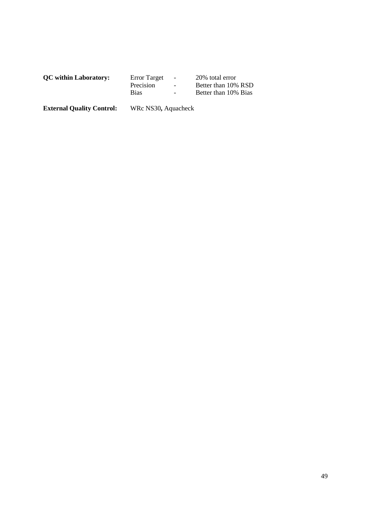| <b>OC</b> within Laboratory: | Error Target | $\sim$                   | 20% total error      |
|------------------------------|--------------|--------------------------|----------------------|
|                              | Precision    | $\overline{\phantom{0}}$ | Better than 10% RSD  |
|                              | <b>Bias</b>  | $\overline{a}$           | Better than 10% Bias |
|                              |              |                          |                      |

**External Quality Control:** WRc NS30**,** Aquacheck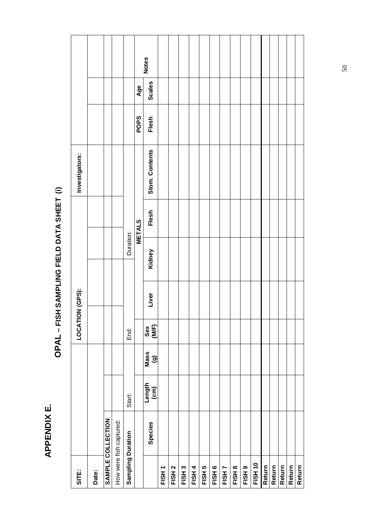**APPENDIX E. APPENDIX E.** 

# OPAL - FISH SAMPLING FIELD DATA SHEET (i) **OPAL – FISH SAMPLING FIELD DATA SHEET (i)**

| SITE:                    |                         |                |             |             | LOCATION (GPS): |        |           | Investigators: |             |        |              |
|--------------------------|-------------------------|----------------|-------------|-------------|-----------------|--------|-----------|----------------|-------------|--------|--------------|
| Date:                    |                         |                |             |             |                 |        |           |                |             |        |              |
|                          | SAMPLE COLLECTION       |                |             |             |                 |        |           |                |             |        |              |
|                          | How were fish captured: |                |             |             |                 |        |           |                |             |        |              |
| <b>Sampling Duration</b> |                         | Start:         |             | End:        |                 |        | Duration: |                |             |        |              |
|                          |                         |                |             |             |                 |        | METALS    |                | <b>POPS</b> | Age    |              |
|                          | Species                 | Length<br>(cm) | Mass<br>(g) | (MN)<br>xəs | Liver           | Kidney | Flesh     | Stom. Contents | Flesh       | Scales | <b>Notes</b> |
| FISH <sub>1</sub>        |                         |                |             |             |                 |        |           |                |             |        |              |
| FISH <sub>2</sub>        |                         |                |             |             |                 |        |           |                |             |        |              |
| FISH <sub>3</sub>        |                         |                |             |             |                 |        |           |                |             |        |              |
| FISH <sub>4</sub>        |                         |                |             |             |                 |        |           |                |             |        |              |
| FISH <sub>5</sub>        |                         |                |             |             |                 |        |           |                |             |        |              |
| FISH <sub>6</sub>        |                         |                |             |             |                 |        |           |                |             |        |              |
| FISH <sub>7</sub>        |                         |                |             |             |                 |        |           |                |             |        |              |
| FISH <sub>8</sub>        |                         |                |             |             |                 |        |           |                |             |        |              |
| FISH <sub>9</sub>        |                         |                |             |             |                 |        |           |                |             |        |              |
| <b>FISH 10</b>           |                         |                |             |             |                 |        |           |                |             |        |              |
| Return                   |                         |                |             |             |                 |        |           |                |             |        |              |
| Return                   |                         |                |             |             |                 |        |           |                |             |        |              |
| Return                   |                         |                |             |             |                 |        |           |                |             |        |              |
| Return                   |                         |                |             |             |                 |        |           |                |             |        |              |
| Return                   |                         |                |             |             |                 |        |           |                |             |        |              |

50